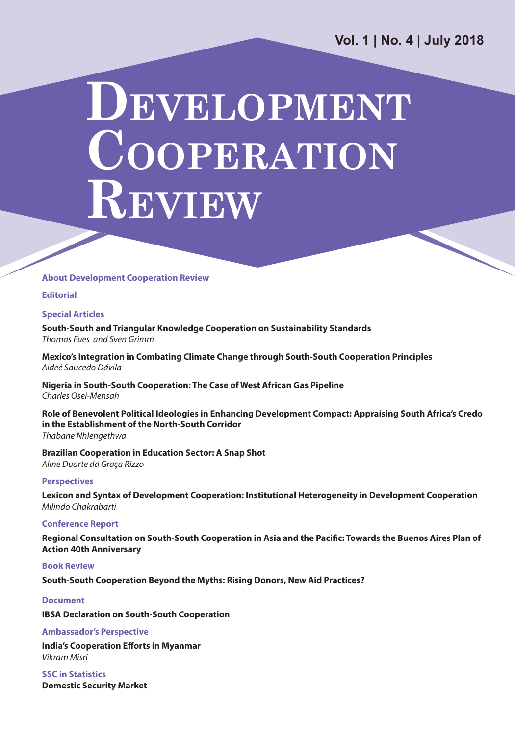**Vol. 1 | No. 4 | July 2018**

# **DEVELOPMENT COOPERATION REVIEW**

#### **About Development Cooperation Review**

**Editorial**

#### **Special Articles**

**South-South and Triangular Knowledge Cooperation on Sustainability Standards** *Thomas Fues and Sven Grimm*

**Mexico's Integration in Combating Climate Change through South-South Cooperation Principles** *Aideé Saucedo Dávila*

**Nigeria in South-South Cooperation: The Case of West African Gas Pipeline** *Charles Osei-Mensah*

**Role of Benevolent Political Ideologies in Enhancing Development Compact: Appraising South Africa's Credo in the Establishment of the North-South Corridor** *Thabane Nhlengethwa*

**Brazilian Cooperation in Education Sector: A Snap Shot** *Aline Duarte da Graça Rizzo*

#### **Perspectives**

**Lexicon and Syntax of Development Cooperation: Institutional Heterogeneity in Development Cooperation** *Milindo Chakrabarti*

#### **Conference Report**

**Regional Consultation on South-South Cooperation in Asia and the Pacific: Towards the Buenos Aires Plan of Action 40th Anniversary**

#### **Book Review**

**South-South Cooperation Beyond the Myths: Rising Donors, New Aid Practices?**

#### **Document**

**IBSA Declaration on South-South Cooperation**

#### **Ambassador's Perspective**

**India's Cooperation Efforts in Myanmar** *Vikram Misri*

**SSC in Statistics Domestic Security Market**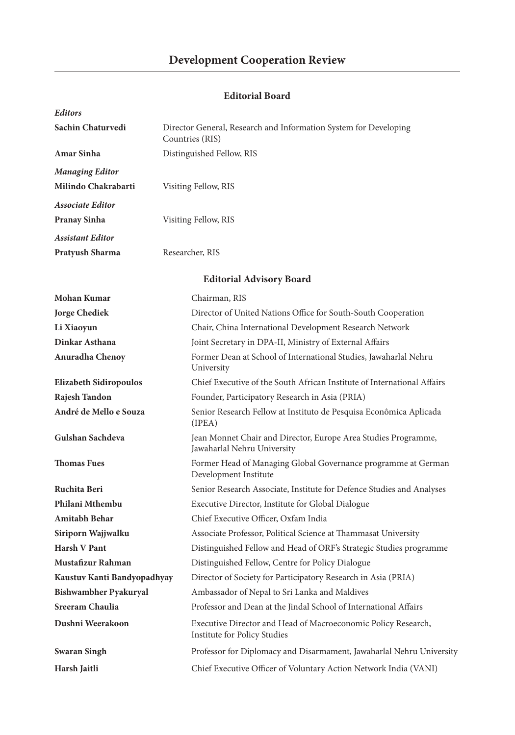#### **Development Cooperation Review**

#### **Editorial Board**

| <b>Editors</b>                |                                                                                                      |  |  |
|-------------------------------|------------------------------------------------------------------------------------------------------|--|--|
| Sachin Chaturvedi             | Director General, Research and Information System for Developing<br>Countries (RIS)                  |  |  |
| Amar Sinha                    | Distinguished Fellow, RIS                                                                            |  |  |
| <b>Managing Editor</b>        |                                                                                                      |  |  |
| Milindo Chakrabarti           | Visiting Fellow, RIS                                                                                 |  |  |
| <b>Associate Editor</b>       |                                                                                                      |  |  |
| <b>Pranay Sinha</b>           | Visiting Fellow, RIS                                                                                 |  |  |
| Assistant Editor              |                                                                                                      |  |  |
| Pratyush Sharma               | Researcher, RIS                                                                                      |  |  |
|                               | <b>Editorial Advisory Board</b>                                                                      |  |  |
| Mohan Kumar                   | Chairman, RIS                                                                                        |  |  |
| <b>Jorge Chediek</b>          | Director of United Nations Office for South-South Cooperation                                        |  |  |
| Li Xiaoyun                    | Chair, China International Development Research Network                                              |  |  |
| Dinkar Asthana                | Joint Secretary in DPA-II, Ministry of External Affairs                                              |  |  |
| Anuradha Chenoy               | Former Dean at School of International Studies, Jawaharlal Nehru<br>University                       |  |  |
| <b>Elizabeth Sidiropoulos</b> | Chief Executive of the South African Institute of International Affairs                              |  |  |
| Rajesh Tandon                 | Founder, Participatory Research in Asia (PRIA)                                                       |  |  |
| André de Mello e Souza        | Senior Research Fellow at Instituto de Pesquisa Econômica Aplicada<br>(IPEA)                         |  |  |
| Gulshan Sachdeva              | Jean Monnet Chair and Director, Europe Area Studies Programme,<br>Jawaharlal Nehru University        |  |  |
| <b>Thomas Fues</b>            | Former Head of Managing Global Governance programme at German<br>Development Institute               |  |  |
| Ruchita Beri                  | Senior Research Associate, Institute for Defence Studies and Analyses                                |  |  |
| Philani Mthembu               | Executive Director, Institute for Global Dialogue                                                    |  |  |
| Amitabh Behar                 | Chief Executive Officer, Oxfam India                                                                 |  |  |
| Siriporn Wajjwalku            | Associate Professor, Political Science at Thammasat University                                       |  |  |
| <b>Harsh V Pant</b>           | Distinguished Fellow and Head of ORF's Strategic Studies programme                                   |  |  |
| Mustafizur Rahman             | Distinguished Fellow, Centre for Policy Dialogue                                                     |  |  |
| Kaustuv Kanti Bandyopadhyay   | Director of Society for Participatory Research in Asia (PRIA)                                        |  |  |
| Bishwambher Pyakuryal         | Ambassador of Nepal to Sri Lanka and Maldives                                                        |  |  |
| Sreeram Chaulia               | Professor and Dean at the Jindal School of International Affairs                                     |  |  |
| Dushni Weerakoon              | Executive Director and Head of Macroeconomic Policy Research,<br><b>Institute for Policy Studies</b> |  |  |
| <b>Swaran Singh</b>           | Professor for Diplomacy and Disarmament, Jawaharlal Nehru University                                 |  |  |
| Harsh Jaitli                  | Chief Executive Officer of Voluntary Action Network India (VANI)                                     |  |  |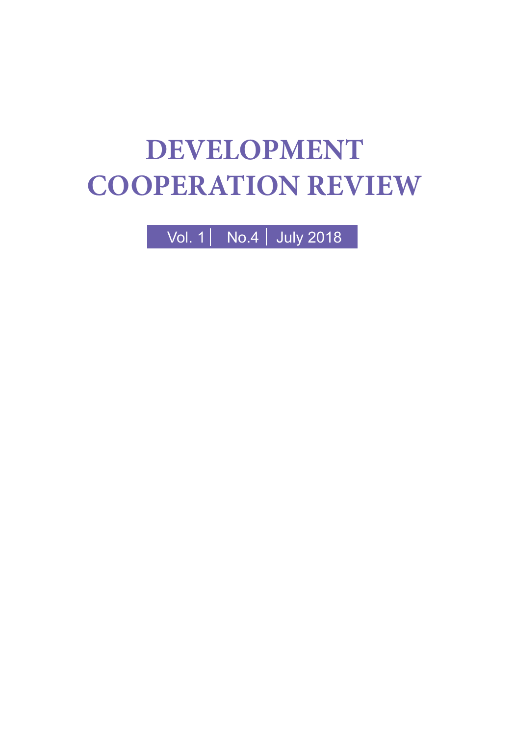# **DEVELOPMENT COOPERATION REVIEW**

Vol. 1 No.4 July 2018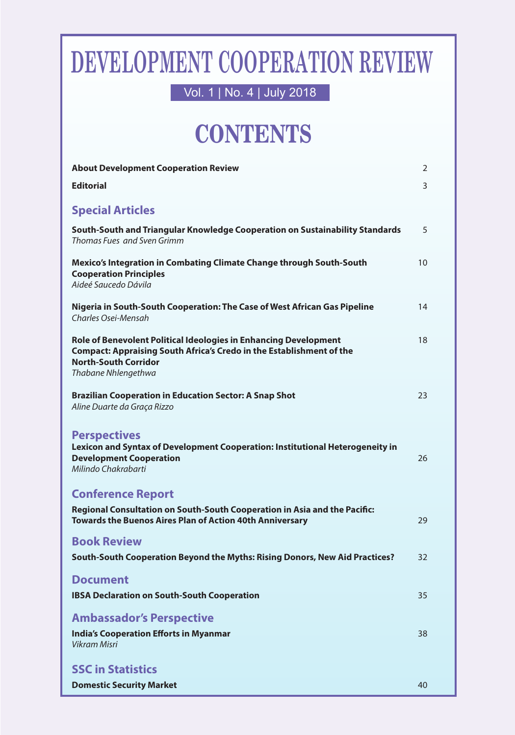# **DEVELOPMENT COOPERATION REVIEW**

Vol. 1 | No. 4 | July 2018

# **CONTENTS**

| <b>About Development Cooperation Review</b>                                                                                                                                                           | 2  |
|-------------------------------------------------------------------------------------------------------------------------------------------------------------------------------------------------------|----|
| <b>Editorial</b>                                                                                                                                                                                      | 3  |
|                                                                                                                                                                                                       |    |
| <b>Special Articles</b>                                                                                                                                                                               |    |
| South-South and Triangular Knowledge Cooperation on Sustainability Standards<br>Thomas Fues and Sven Grimm                                                                                            | 5  |
| Mexico's Integration in Combating Climate Change through South-South<br><b>Cooperation Principles</b><br>Aideé Saucedo Dávila                                                                         | 10 |
| Nigeria in South-South Cooperation: The Case of West African Gas Pipeline<br>Charles Osei-Mensah                                                                                                      | 14 |
| Role of Benevolent Political Ideologies in Enhancing Development<br><b>Compact: Appraising South Africa's Credo in the Establishment of the</b><br><b>North-South Corridor</b><br>Thabane Nhlengethwa | 18 |
| Brazilian Cooperation in Education Sector: A Snap Shot<br>Aline Duarte da Graça Rizzo                                                                                                                 | 23 |
| <b>Perspectives</b><br>Lexicon and Syntax of Development Cooperation: Institutional Heterogeneity in<br><b>Development Cooperation</b><br>Milindo Chakrabarti                                         | 26 |
| <b>Conference Report</b>                                                                                                                                                                              |    |
| Regional Consultation on South-South Cooperation in Asia and the Pacific:<br>Towards the Buenos Aires Plan of Action 40th Anniversary                                                                 | 29 |
| <b>Book Review</b>                                                                                                                                                                                    |    |
| South-South Cooperation Beyond the Myths: Rising Donors, New Aid Practices?                                                                                                                           | 32 |
| <b>Document</b>                                                                                                                                                                                       |    |
| <b>IBSA Declaration on South-South Cooperation</b>                                                                                                                                                    | 35 |
| <b>Ambassador's Perspective</b>                                                                                                                                                                       |    |
| <b>India's Cooperation Efforts in Myanmar</b><br><b>Vikram Misri</b>                                                                                                                                  | 38 |
| <b>SSC in Statistics</b>                                                                                                                                                                              |    |
| <b>Domestic Security Market</b>                                                                                                                                                                       | 40 |
|                                                                                                                                                                                                       |    |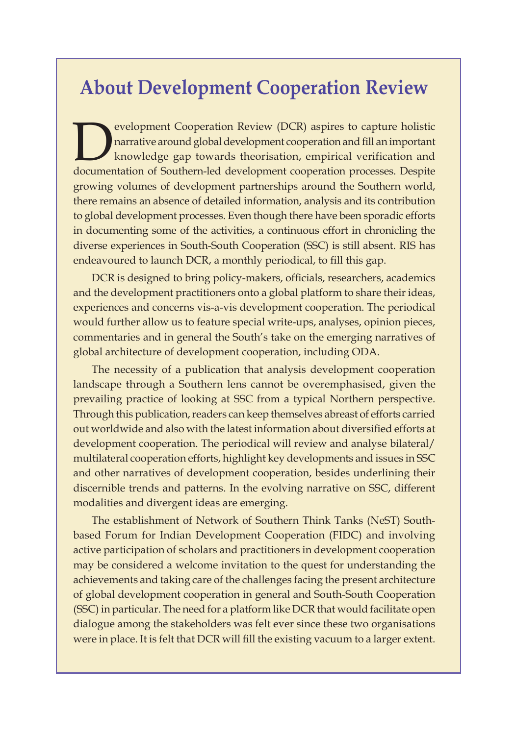### **About Development Cooperation Review**

evelopment Cooperation Review (DCR) aspires to capture holistic<br>harrative around global development cooperation and fill an important<br>documentation of Southern-led development cooperation processes. Despite narrative around global development cooperation and fill an important knowledge gap towards theorisation, empirical verification and documentation of Southern-led development cooperation processes. Despite growing volumes of development partnerships around the Southern world, there remains an absence of detailed information, analysis and its contribution to global development processes. Even though there have been sporadic efforts in documenting some of the activities, a continuous effort in chronicling the diverse experiences in South-South Cooperation (SSC) is still absent. RIS has endeavoured to launch DCR, a monthly periodical, to fill this gap.

DCR is designed to bring policy-makers, officials, researchers, academics and the development practitioners onto a global platform to share their ideas, experiences and concerns vis-a-vis development cooperation. The periodical would further allow us to feature special write-ups, analyses, opinion pieces, commentaries and in general the South's take on the emerging narratives of global architecture of development cooperation, including ODA.

The necessity of a publication that analysis development cooperation landscape through a Southern lens cannot be overemphasised, given the prevailing practice of looking at SSC from a typical Northern perspective. Through this publication, readers can keep themselves abreast of efforts carried out worldwide and also with the latest information about diversified efforts at development cooperation. The periodical will review and analyse bilateral/ multilateral cooperation efforts, highlight key developments and issues in SSC and other narratives of development cooperation, besides underlining their discernible trends and patterns. In the evolving narrative on SSC, different modalities and divergent ideas are emerging.

The establishment of Network of Southern Think Tanks (NeST) Southbased Forum for Indian Development Cooperation (FIDC) and involving active participation of scholars and practitioners in development cooperation may be considered a welcome invitation to the quest for understanding the achievements and taking care of the challenges facing the present architecture of global development cooperation in general and South-South Cooperation (SSC) in particular. The need for a platform like DCR that would facilitate open dialogue among the stakeholders was felt ever since these two organisations were in place. It is felt that DCR will fill the existing vacuum to a larger extent.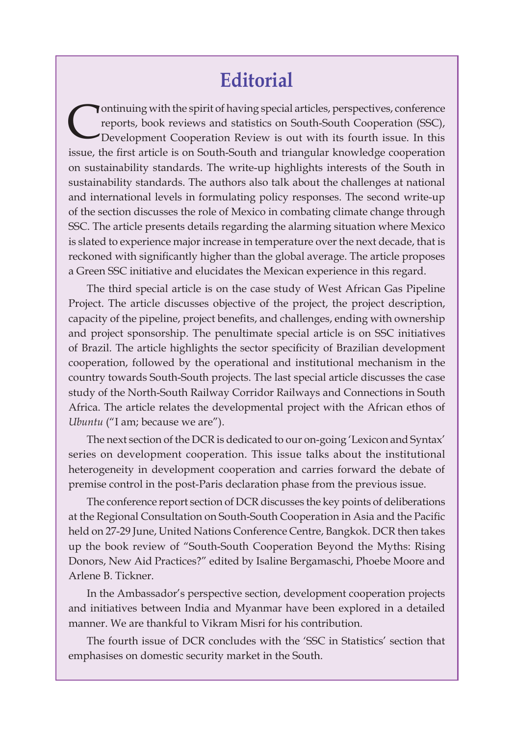### **Editorial**

Continuing with the spirit of having special articles, perspectives, conference reports, book reviews and statistics on South-South Cooperation (SSC), Development Cooperation Review is out with its fourth issue. In this reports, book reviews and statistics on South-South Cooperation (SSC), Development Cooperation Review is out with its fourth issue. In this issue, the first article is on South-South and triangular knowledge cooperation on sustainability standards. The write-up highlights interests of the South in sustainability standards. The authors also talk about the challenges at national and international levels in formulating policy responses. The second write-up of the section discusses the role of Mexico in combating climate change through SSC. The article presents details regarding the alarming situation where Mexico is slated to experience major increase in temperature over the next decade, that is reckoned with significantly higher than the global average. The article proposes a Green SSC initiative and elucidates the Mexican experience in this regard.

The third special article is on the case study of West African Gas Pipeline Project. The article discusses objective of the project, the project description, capacity of the pipeline, project benefits, and challenges, ending with ownership and project sponsorship. The penultimate special article is on SSC initiatives of Brazil. The article highlights the sector specificity of Brazilian development cooperation, followed by the operational and institutional mechanism in the country towards South-South projects. The last special article discusses the case study of the North-South Railway Corridor Railways and Connections in South Africa. The article relates the developmental project with the African ethos of *Ubuntu* ("I am; because we are").

The next section of the DCR is dedicated to our on-going 'Lexicon and Syntax' series on development cooperation. This issue talks about the institutional heterogeneity in development cooperation and carries forward the debate of premise control in the post-Paris declaration phase from the previous issue.

The conference report section of DCR discusses the key points of deliberations at the Regional Consultation on South-South Cooperation in Asia and the Pacific held on 27-29 June, United Nations Conference Centre, Bangkok. DCR then takes up the book review of "South-South Cooperation Beyond the Myths: Rising Donors, New Aid Practices?" edited by Isaline Bergamaschi, Phoebe Moore and Arlene B. Tickner.

In the Ambassador's perspective section, development cooperation projects and initiatives between India and Myanmar have been explored in a detailed manner. We are thankful to Vikram Misri for his contribution.

The fourth issue of DCR concludes with the 'SSC in Statistics' section that emphasises on domestic security market in the South.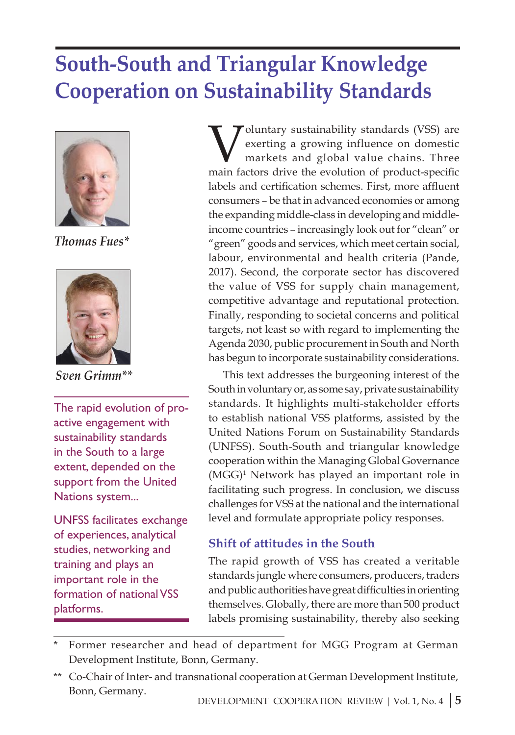# **South-South and Triangular Knowledge Cooperation on Sustainability Standards**



*Thomas Fues\**



*Sven Grimm\*\**

The rapid evolution of proactive engagement with sustainability standards in the South to a large extent, depended on the support from the United Nations system...

UNFSS facilitates exchange of experiences, analytical studies, networking and training and plays an important role in the formation of national VSS platforms.

Voluntary sustainability standards (VSS) are<br>exerting a growing influence on domestic<br>markets and global value chains. Three exerting a growing influence on domestic markets and global value chains. Three main factors drive the evolution of product-specific labels and certification schemes. First, more affluent consumers – be that in advanced economies or among the expanding middle-class in developing and middleincome countries – increasingly look out for "clean" or "green" goods and services, which meet certain social, labour, environmental and health criteria (Pande, 2017). Second, the corporate sector has discovered the value of VSS for supply chain management, competitive advantage and reputational protection. Finally, responding to societal concerns and political targets, not least so with regard to implementing the Agenda 2030, public procurement in South and North has begun to incorporate sustainability considerations.

This text addresses the burgeoning interest of the South in voluntary or, as some say, private sustainability standards. It highlights multi-stakeholder efforts to establish national VSS platforms, assisted by the United Nations Forum on Sustainability Standards (UNFSS). South-South and triangular knowledge cooperation within the Managing Global Governance (MGG)1 Network has played an important role in facilitating such progress. In conclusion, we discuss challenges for VSS at the national and the international level and formulate appropriate policy responses.

#### **Shift of attitudes in the South**

The rapid growth of VSS has created a veritable standards jungle where consumers, producers, traders and public authorities have great difficulties in orienting themselves. Globally, there are more than 500 product labels promising sustainability, thereby also seeking

Former researcher and head of department for MGG Program at German Development Institute, Bonn, Germany.

<sup>\*\*</sup> Co-Chair of Inter- and transnational cooperation at German Development Institute, Bonn, Germany.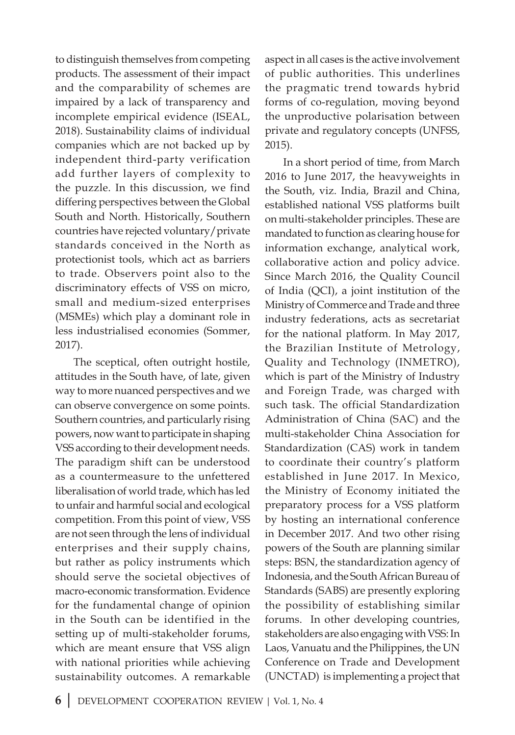to distinguish themselves from competing products. The assessment of their impact and the comparability of schemes are impaired by a lack of transparency and incomplete empirical evidence (ISEAL, 2018). Sustainability claims of individual companies which are not backed up by independent third-party verification add further layers of complexity to the puzzle. In this discussion, we find differing perspectives between the Global South and North. Historically, Southern countries have rejected voluntary/private standards conceived in the North as protectionist tools, which act as barriers to trade. Observers point also to the discriminatory effects of VSS on micro, small and medium-sized enterprises (MSMEs) which play a dominant role in less industrialised economies (Sommer, 2017).

The sceptical, often outright hostile, attitudes in the South have, of late, given way to more nuanced perspectives and we can observe convergence on some points. Southern countries, and particularly rising powers, now want to participate in shaping VSS according to their development needs. The paradigm shift can be understood as a countermeasure to the unfettered liberalisation of world trade, which has led to unfair and harmful social and ecological competition. From this point of view, VSS are not seen through the lens of individual enterprises and their supply chains, but rather as policy instruments which should serve the societal objectives of macro-economic transformation. Evidence for the fundamental change of opinion in the South can be identified in the setting up of multi-stakeholder forums, which are meant ensure that VSS align with national priorities while achieving sustainability outcomes. A remarkable

aspect in all cases is the active involvement of public authorities. This underlines the pragmatic trend towards hybrid forms of co-regulation, moving beyond the unproductive polarisation between private and regulatory concepts (UNFSS, 2015).

In a short period of time, from March 2016 to June 2017, the heavyweights in the South, viz. India, Brazil and China, established national VSS platforms built on multi-stakeholder principles. These are mandated to function as clearing house for information exchange, analytical work, collaborative action and policy advice. Since March 2016, the Quality Council of India (QCI), a joint institution of the Ministry of Commerce and Trade and three industry federations, acts as secretariat for the national platform. In May 2017, the Brazilian Institute of Metrology, Quality and Technology (INMETRO), which is part of the Ministry of Industry and Foreign Trade, was charged with such task. The official Standardization Administration of China (SAC) and the multi-stakeholder China Association for Standardization (CAS) work in tandem to coordinate their country's platform established in June 2017. In Mexico, the Ministry of Economy initiated the preparatory process for a VSS platform by hosting an international conference in December 2017. And two other rising powers of the South are planning similar steps: BSN, the standardization agency of Indonesia, and the South African Bureau of Standards (SABS) are presently exploring the possibility of establishing similar forums. In other developing countries, stakeholders are also engaging with VSS: In Laos, Vanuatu and the Philippines, the UN Conference on Trade and Development (UNCTAD) is implementing a project that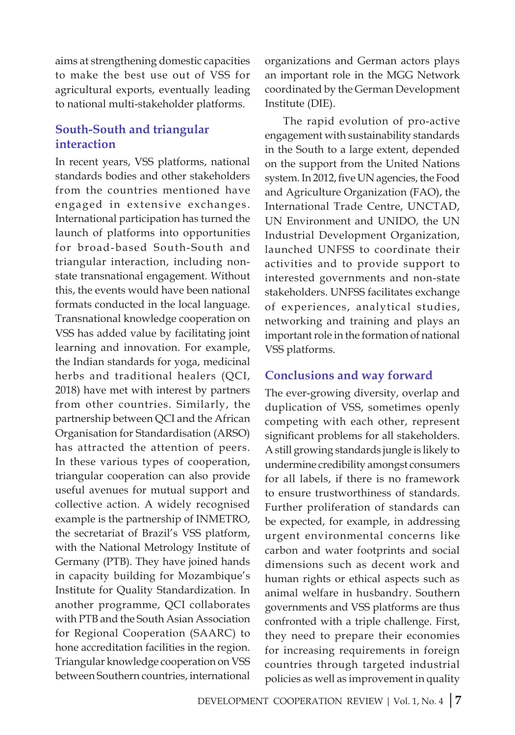aims at strengthening domestic capacities to make the best use out of VSS for agricultural exports, eventually leading to national multi-stakeholder platforms.

#### **South-South and triangular interaction**

In recent years, VSS platforms, national standards bodies and other stakeholders from the countries mentioned have engaged in extensive exchanges. International participation has turned the launch of platforms into opportunities for broad-based South-South and triangular interaction, including nonstate transnational engagement. Without this, the events would have been national formats conducted in the local language. Transnational knowledge cooperation on VSS has added value by facilitating joint learning and innovation. For example, the Indian standards for yoga, medicinal herbs and traditional healers (QCI, 2018) have met with interest by partners from other countries. Similarly, the partnership between QCI and the African Organisation for Standardisation (ARSO) has attracted the attention of peers. In these various types of cooperation, triangular cooperation can also provide useful avenues for mutual support and collective action. A widely recognised example is the partnership of INMETRO, the secretariat of Brazil's VSS platform, with the National Metrology Institute of Germany (PTB). They have joined hands in capacity building for Mozambique's Institute for Quality Standardization. In another programme, QCI collaborates with PTB and the South Asian Association for Regional Cooperation (SAARC) to hone accreditation facilities in the region. Triangular knowledge cooperation on VSS between Southern countries, international

organizations and German actors plays an important role in the MGG Network coordinated by the German Development Institute (DIE).

The rapid evolution of pro-active engagement with sustainability standards in the South to a large extent, depended on the support from the United Nations system. In 2012, five UN agencies, the Food and Agriculture Organization (FAO), the International Trade Centre, UNCTAD, UN Environment and UNIDO, the UN Industrial Development Organization, launched UNFSS to coordinate their activities and to provide support to interested governments and non-state stakeholders. UNFSS facilitates exchange of experiences, analytical studies, networking and training and plays an important role in the formation of national VSS platforms.

#### **Conclusions and way forward**

The ever-growing diversity, overlap and duplication of VSS, sometimes openly competing with each other, represent significant problems for all stakeholders. A still growing standards jungle is likely to undermine credibility amongst consumers for all labels, if there is no framework to ensure trustworthiness of standards. Further proliferation of standards can be expected, for example, in addressing urgent environmental concerns like carbon and water footprints and social dimensions such as decent work and human rights or ethical aspects such as animal welfare in husbandry. Southern governments and VSS platforms are thus confronted with a triple challenge. First, they need to prepare their economies for increasing requirements in foreign countries through targeted industrial policies as well as improvement in quality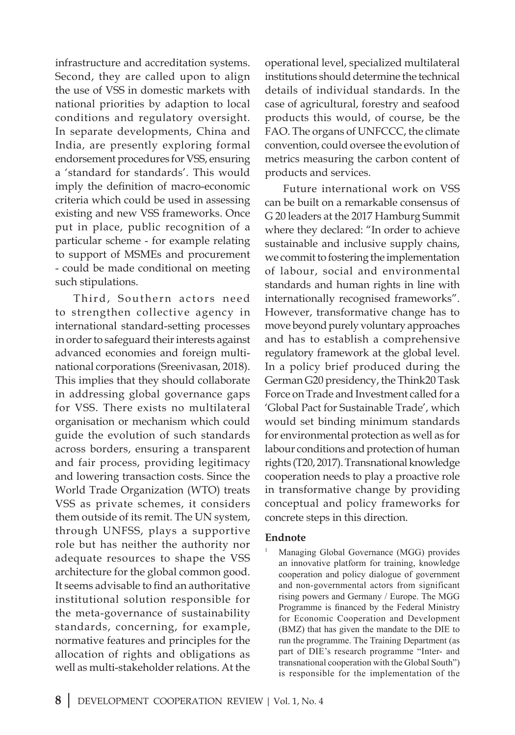infrastructure and accreditation systems. Second, they are called upon to align the use of VSS in domestic markets with national priorities by adaption to local conditions and regulatory oversight. In separate developments, China and India, are presently exploring formal endorsement procedures for VSS, ensuring a 'standard for standards'. This would imply the definition of macro-economic criteria which could be used in assessing existing and new VSS frameworks. Once put in place, public recognition of a particular scheme - for example relating to support of MSMEs and procurement - could be made conditional on meeting such stipulations.

Third, Southern actors need to strengthen collective agency in international standard-setting processes in order to safeguard their interests against advanced economies and foreign multinational corporations (Sreenivasan, 2018). This implies that they should collaborate in addressing global governance gaps for VSS. There exists no multilateral organisation or mechanism which could guide the evolution of such standards across borders, ensuring a transparent and fair process, providing legitimacy and lowering transaction costs. Since the World Trade Organization (WTO) treats VSS as private schemes, it considers them outside of its remit. The UN system, through UNFSS, plays a supportive role but has neither the authority nor adequate resources to shape the VSS architecture for the global common good. It seems advisable to find an authoritative institutional solution responsible for the meta-governance of sustainability standards, concerning, for example, normative features and principles for the allocation of rights and obligations as well as multi-stakeholder relations. At the

operational level, specialized multilateral institutions should determine the technical details of individual standards. In the case of agricultural, forestry and seafood products this would, of course, be the FAO. The organs of UNFCCC, the climate convention, could oversee the evolution of metrics measuring the carbon content of products and services.

Future international work on VSS can be built on a remarkable consensus of G 20 leaders at the 2017 Hamburg Summit where they declared: "In order to achieve sustainable and inclusive supply chains, we commit to fostering the implementation of labour, social and environmental standards and human rights in line with internationally recognised frameworks". However, transformative change has to move beyond purely voluntary approaches and has to establish a comprehensive regulatory framework at the global level. In a policy brief produced during the German G20 presidency, the Think20 Task Force on Trade and Investment called for a 'Global Pact for Sustainable Trade', which would set binding minimum standards for environmental protection as well as for labour conditions and protection of human rights (T20, 2017). Transnational knowledge cooperation needs to play a proactive role in transformative change by providing conceptual and policy frameworks for concrete steps in this direction.

#### **Endnote**

Managing Global Governance (MGG) provides an innovative platform for training, knowledge cooperation and policy dialogue of government and non-governmental actors from significant rising powers and Germany / Europe. The MGG Programme is financed by the Federal Ministry for Economic Cooperation and Development (BMZ) that has given the mandate to the DIE to run the programme. The Training Department (as part of DIE's research programme "Inter- and transnational cooperation with the Global South") is responsible for the implementation of the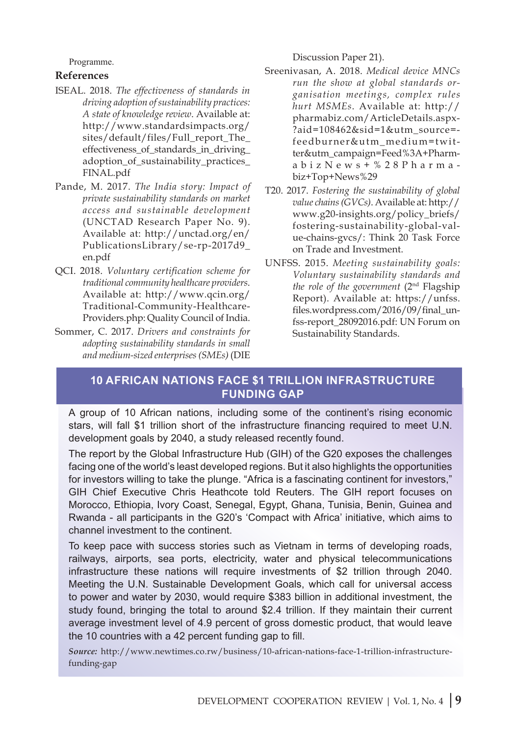Programme.

#### **References**

- ISEAL. 2018. *The effectiveness of standards in driving adoption of sustainability practices: A state of knowledge review*. Available at: http://www.standardsimpacts.org/ sites/default/files/Full\_report\_The\_ effectiveness\_of\_standards\_in\_driving\_ adoption\_of\_sustainability\_practices\_ FINAL.pdf
- Pande, M. 2017. *The India story: Impact of private sustainability standards on market access and sustainable development* (UNCTAD Research Paper No. 9). Available at: http://unctad.org/en/ PublicationsLibrary/se-rp-2017d9\_ en.pdf
- QCI. 2018. *Voluntary certification scheme for traditional community healthcare providers*. Available at: http://www.qcin.org/ Traditional-Community-Healthcare-Providers.php: Quality Council of India.
- Sommer, C. 2017. *Drivers and constraints for adopting sustainability standards in small and medium-sized enterprises (SMEs)* (DIE

Discussion Paper 21).

- Sreenivasan, A. 2018. *Medical device MNCs run the show at global standards organisation meetings, complex rules hurt MSMEs*. Available at: http:// pharmabiz.com/ArticleDetails.aspx- ?aid=108462&sid=1&utm\_source= feedburner&utm\_medium=twitter&utm\_campaign=Feed%3A+PharmabizNews+%28Pharma biz+Top+News%29
- T20. 2017. *Fostering the sustainability of global value chains (GVCs)*. Available at: http:// www.g20-insights.org/policy\_briefs/ fostering-sustainability-global-value-chains-gvcs/: Think 20 Task Force on Trade and Investment.
- UNFSS. 2015. *Meeting sustainability goals: Voluntary sustainability standards and the role of the government* (2nd Flagship Report). Available at: https://unfss. files.wordpress.com/2016/09/final\_unfss-report\_28092016.pdf: UN Forum on Sustainability Standards.

#### **10 African nations face \$1 trillion infrastructure funding gap**

A group of 10 African nations, including some of the continent's rising economic stars, will fall \$1 trillion short of the infrastructure financing required to meet U.N. development goals by 2040, a study released recently found.

The report by the Global Infrastructure Hub (GIH) of the G20 exposes the challenges facing one of the world's least developed regions. But it also highlights the opportunities for investors willing to take the plunge. "Africa is a fascinating continent for investors," GIH Chief Executive Chris Heathcote told Reuters. The GIH report focuses on Morocco, Ethiopia, Ivory Coast, Senegal, Egypt, Ghana, Tunisia, Benin, Guinea and Rwanda - all participants in the G20's 'Compact with Africa' initiative, which aims to channel investment to the continent.

To keep pace with success stories such as Vietnam in terms of developing roads, railways, airports, sea ports, electricity, water and physical telecommunications infrastructure these nations will require investments of \$2 trillion through 2040. Meeting the U.N. Sustainable Development Goals, which call for universal access to power and water by 2030, would require \$383 billion in additional investment, the study found, bringing the total to around \$2.4 trillion. If they maintain their current average investment level of 4.9 percent of gross domestic product, that would leave the 10 countries with a 42 percent funding gap to fill.

*Source:* http://www.newtimes.co.rw/business/10-african-nations-face-1-trillion-infrastructurefunding-gap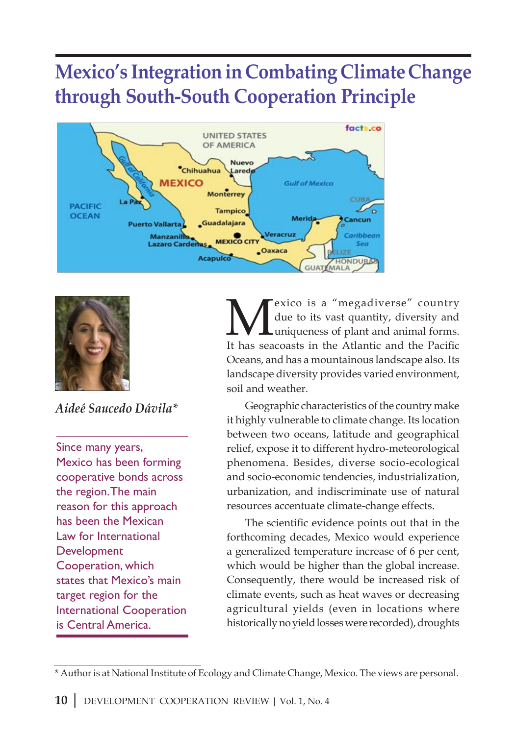### **Mexico's Integration in Combating Climate Change through South-South Cooperation Principle**





*Aideé Saucedo Dávila\**

Since many years, Mexico has been forming cooperative bonds across the region. The main reason for this approach has been the Mexican Law for International Development Cooperation, which states that Mexico's main target region for the International Cooperation is Central America.

exico is a "megadiverse" country due to its vast quantity, diversity and uniqueness of plant and animal forms. It has seacoasts in the Atlantic and the Pacific Oceans, and has a mountainous landscape also. Its landscape diversity provides varied environment, soil and weather.

Geographic characteristics of the country make it highly vulnerable to climate change. Its location between two oceans, latitude and geographical relief, expose it to different hydro-meteorological phenomena. Besides, diverse socio-ecological and socio-economic tendencies, industrialization, urbanization, and indiscriminate use of natural resources accentuate climate-change effects.

The scientific evidence points out that in the forthcoming decades, Mexico would experience a generalized temperature increase of 6 per cent, which would be higher than the global increase. Consequently, there would be increased risk of climate events, such as heat waves or decreasing agricultural yields (even in locations where historically no yield losses were recorded), droughts

<sup>\*</sup> Author is at National Institute of Ecology and Climate Change, Mexico. The views are personal.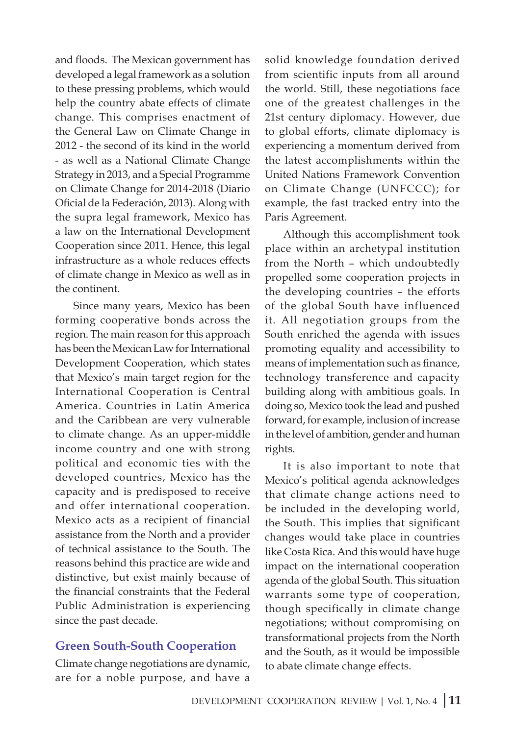and floods. The Mexican government has developed a legal framework as a solution to these pressing problems, which would help the country abate effects of climate change. This comprises enactment of the General Law on Climate Change in 2012 - the second of its kind in the world - as well as a National Climate Change Strategy in 2013, and a Special Programme on Climate Change for 2014-2018 (Diario Oficial de la Federación, 2013). Along with the supra legal framework, Mexico has a law on the International Development Cooperation since 2011. Hence, this legal infrastructure as a whole reduces effects of climate change in Mexico as well as in the continent.

Since many years, Mexico has been forming cooperative bonds across the region. The main reason for this approach has been the Mexican Law for International Development Cooperation, which states that Mexico's main target region for the International Cooperation is Central America. Countries in Latin America and the Caribbean are very vulnerable to climate change. As an upper-middle income country and one with strong political and economic ties with the developed countries, Mexico has the capacity and is predisposed to receive and offer international cooperation. Mexico acts as a recipient of financial assistance from the North and a provider of technical assistance to the South. The reasons behind this practice are wide and distinctive, but exist mainly because of the financial constraints that the Federal Public Administration is experiencing since the past decade.

#### **Green South-South Cooperation**

Climate change negotiations are dynamic, are for a noble purpose, and have a

solid knowledge foundation derived from scientific inputs from all around the world. Still, these negotiations face one of the greatest challenges in the 21st century diplomacy. However, due to global efforts, climate diplomacy is experiencing a momentum derived from the latest accomplishments within the United Nations Framework Convention on Climate Change (UNFCCC); for example, the fast tracked entry into the Paris Agreement.

Although this accomplishment took place within an archetypal institution from the North – which undoubtedly propelled some cooperation projects in the developing countries – the efforts of the global South have influenced it. All negotiation groups from the South enriched the agenda with issues promoting equality and accessibility to means of implementation such as finance, technology transference and capacity building along with ambitious goals. In doing so, Mexico took the lead and pushed forward, for example, inclusion of increase in the level of ambition, gender and human rights.

It is also important to note that Mexico's political agenda acknowledges that climate change actions need to be included in the developing world, the South. This implies that significant changes would take place in countries like Costa Rica. And this would have huge impact on the international cooperation agenda of the global South. This situation warrants some type of cooperation, though specifically in climate change negotiations; without compromising on transformational projects from the North and the South, as it would be impossible to abate climate change effects.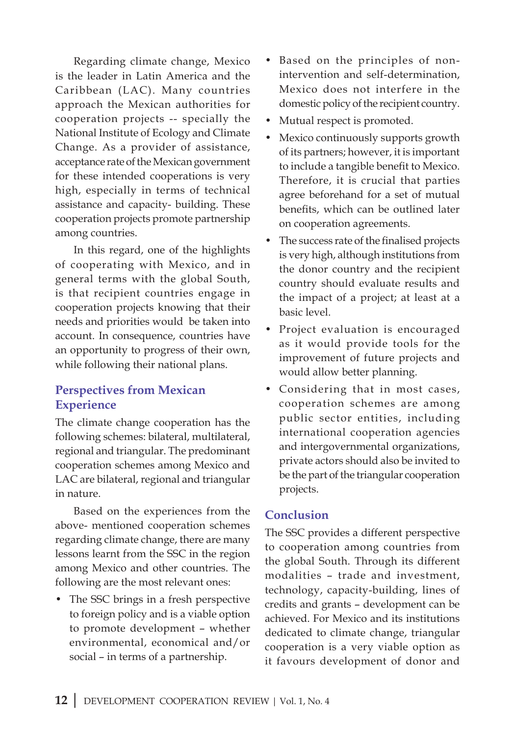Regarding climate change, Mexico is the leader in Latin America and the Caribbean (LAC). Many countries approach the Mexican authorities for cooperation projects -- specially the National Institute of Ecology and Climate Change. As a provider of assistance, acceptance rate of the Mexican government for these intended cooperations is very high, especially in terms of technical assistance and capacity- building. These cooperation projects promote partnership among countries.

In this regard, one of the highlights of cooperating with Mexico, and in general terms with the global South, is that recipient countries engage in cooperation projects knowing that their needs and priorities would be taken into account. In consequence, countries have an opportunity to progress of their own, while following their national plans.

#### **Perspectives from Mexican Experience**

The climate change cooperation has the following schemes: bilateral, multilateral, regional and triangular. The predominant cooperation schemes among Mexico and LAC are bilateral, regional and triangular in nature.

Based on the experiences from the above- mentioned cooperation schemes regarding climate change, there are many lessons learnt from the SSC in the region among Mexico and other countries. The following are the most relevant ones:

• The SSC brings in a fresh perspective to foreign policy and is a viable option to promote development – whether environmental, economical and/or social – in terms of a partnership.

- Based on the principles of nonintervention and self-determination, Mexico does not interfere in the domestic policy of the recipient country.
- Mutual respect is promoted.
- Mexico continuously supports growth of its partners; however, it is important to include a tangible benefit to Mexico. Therefore, it is crucial that parties agree beforehand for a set of mutual benefits, which can be outlined later on cooperation agreements.
- The success rate of the finalised projects is very high, although institutions from the donor country and the recipient country should evaluate results and the impact of a project; at least at a basic level.
- Project evaluation is encouraged as it would provide tools for the improvement of future projects and would allow better planning.
- Considering that in most cases, cooperation schemes are among public sector entities, including international cooperation agencies and intergovernmental organizations, private actors should also be invited to be the part of the triangular cooperation projects.

#### **Conclusion**

The SSC provides a different perspective to cooperation among countries from the global South. Through its different modalities – trade and investment, technology, capacity-building, lines of credits and grants – development can be achieved. For Mexico and its institutions dedicated to climate change, triangular cooperation is a very viable option as it favours development of donor and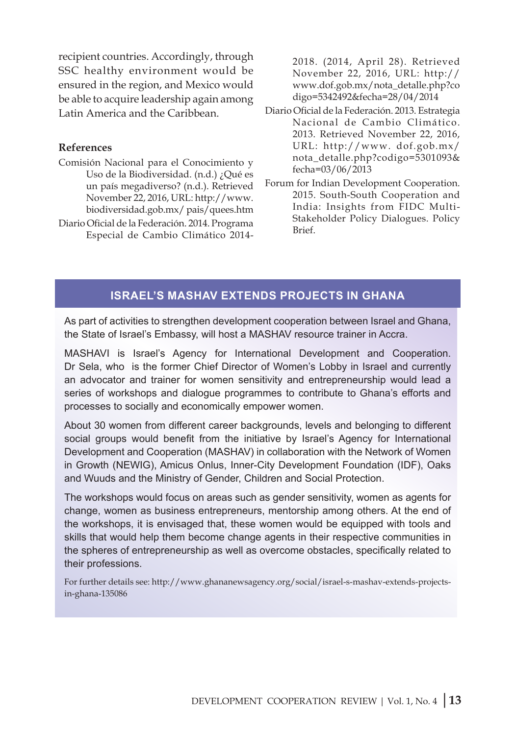recipient countries. Accordingly, through SSC healthy environment would be ensured in the region, and Mexico would be able to acquire leadership again among Latin America and the Caribbean.

#### **References**

- Comisión Nacional para el Conocimiento y Uso de la Biodiversidad. (n.d.) ¿Qué es un país megadiverso? (n.d.). Retrieved November 22, 2016, URL: http://www. biodiversidad.gob.mx/ pais/quees.htm
- Diario Oficial de la Federación. 2014. Programa Especial de Cambio Climático 2014-

2018. (2014, April 28). Retrieved November 22, 2016, URL: http:// www.dof.gob.mx/nota\_detalle.php?co digo=5342492&fecha=28/04/2014

- Diario Oficial de la Federación. 2013. Estrategia Nacional de Cambio Climático. 2013. Retrieved November 22, 2016, URL: http://www. dof.gob.mx/ nota\_detalle.php?codigo=5301093& fecha=03/06/2013
- Forum for Indian Development Cooperation. 2015. South-South Cooperation and India: Insights from FIDC Multi-Stakeholder Policy Dialogues. Policy Brief.

#### **Israel's Mashav extends projects in Ghana**

As part of activities to strengthen development cooperation between Israel and Ghana, the State of Israel's Embassy, will host a MASHAV resource trainer in Accra.

MASHAVI is Israel's Agency for International Development and Cooperation. Dr Sela, who is the former Chief Director of Women's Lobby in Israel and currently an advocator and trainer for women sensitivity and entrepreneurship would lead a series of workshops and dialogue programmes to contribute to Ghana's efforts and processes to socially and economically empower women.

About 30 women from different career backgrounds, levels and belonging to different social groups would benefit from the initiative by Israel's Agency for International Development and Cooperation (MASHAV) in collaboration with the Network of Women in Growth (NEWIG), Amicus Onlus, Inner-City Development Foundation (IDF), Oaks and Wuuds and the Ministry of Gender, Children and Social Protection.

The workshops would focus on areas such as gender sensitivity, women as agents for change, women as business entrepreneurs, mentorship among others. At the end of the workshops, it is envisaged that, these women would be equipped with tools and skills that would help them become change agents in their respective communities in the spheres of entrepreneurship as well as overcome obstacles, specifically related to their professions.

For further details see: http://www.ghananewsagency.org/social/israel-s-mashav-extends-projectsin-ghana-135086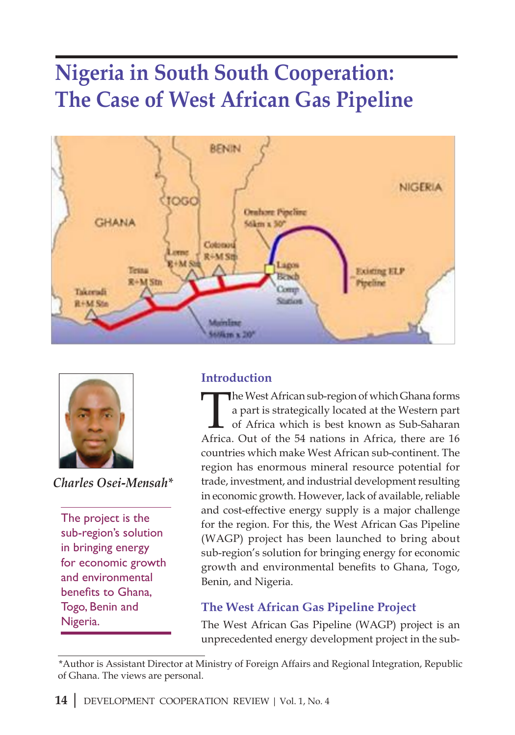# **Nigeria in South South Cooperation: The Case of West African Gas Pipeline**





*Charles Osei-Mensah\**

The project is the sub-region's solution in bringing energy for economic growth and environmental benefits to Ghana, Togo, Benin and Nigeria.

#### **Introduction**

The West African sub-region of which Ghana forms<br>a part is strategically located at the Western part<br>of Africa which is best known as Sub-Saharan<br>Africa Qut of the 54 pations in Africa, there are 16 a part is strategically located at the Western part of Africa which is best known as Sub-Saharan Africa. Out of the 54 nations in Africa, there are 16 countries which make West African sub-continent. The region has enormous mineral resource potential for trade, investment, and industrial development resulting in economic growth. However, lack of available, reliable and cost-effective energy supply is a major challenge for the region. For this, the West African Gas Pipeline (WAGP) project has been launched to bring about sub-region's solution for bringing energy for economic growth and environmental benefits to Ghana, Togo, Benin, and Nigeria.

#### **The West African Gas Pipeline Project**

The West African Gas Pipeline (WAGP) project is an unprecedented energy development project in the sub-

<sup>\*</sup>Author is Assistant Director at Ministry of Foreign Affairs and Regional Integration, Republic of Ghana. The views are personal.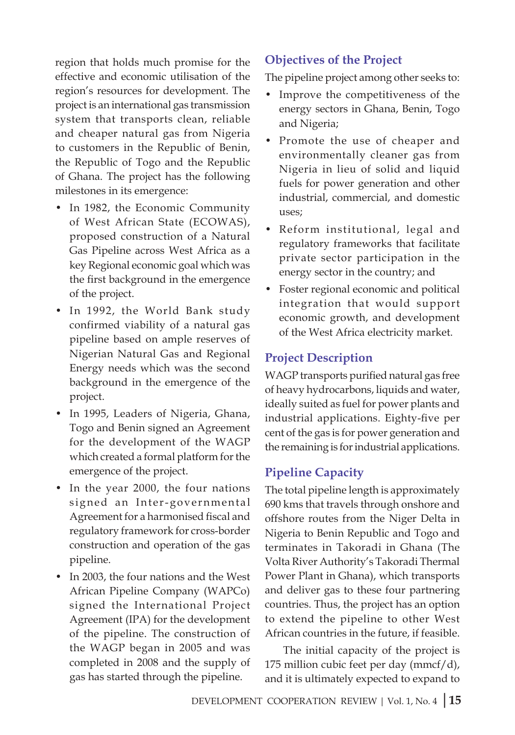region that holds much promise for the effective and economic utilisation of the region's resources for development. The project is an international gas transmission system that transports clean, reliable and cheaper natural gas from Nigeria to customers in the Republic of Benin, the Republic of Togo and the Republic of Ghana. The project has the following milestones in its emergence:

- In 1982, the Economic Community of West African State (ECOWAS), proposed construction of a Natural Gas Pipeline across West Africa as a key Regional economic goal which was the first background in the emergence of the project.
- In 1992, the World Bank study confirmed viability of a natural gas pipeline based on ample reserves of Nigerian Natural Gas and Regional Energy needs which was the second background in the emergence of the project.
- In 1995, Leaders of Nigeria, Ghana, Togo and Benin signed an Agreement for the development of the WAGP which created a formal platform for the emergence of the project.
- In the year 2000, the four nations signed an Inter-governmental Agreement for a harmonised fiscal and regulatory framework for cross-border construction and operation of the gas pipeline.
- In 2003, the four nations and the West African Pipeline Company (WAPCo) signed the International Project Agreement (IPA) for the development of the pipeline. The construction of the WAGP began in 2005 and was completed in 2008 and the supply of gas has started through the pipeline.

#### **Objectives of the Project**

The pipeline project among other seeks to:

- Improve the competitiveness of the energy sectors in Ghana, Benin, Togo and Nigeria;
- Promote the use of cheaper and environmentally cleaner gas from Nigeria in lieu of solid and liquid fuels for power generation and other industrial, commercial, and domestic uses;
- Reform institutional, legal and regulatory frameworks that facilitate private sector participation in the energy sector in the country; and
- Foster regional economic and political integration that would support economic growth, and development of the West Africa electricity market.

#### **Project Description**

WAGP transports purified natural gas free of heavy hydrocarbons, liquids and water, ideally suited as fuel for power plants and industrial applications. Eighty-five per cent of the gas is for power generation and the remaining is for industrial applications.

#### **Pipeline Capacity**

The total pipeline length is approximately 690 kms that travels through onshore and offshore routes from the Niger Delta in Nigeria to Benin Republic and Togo and terminates in Takoradi in Ghana (The Volta River Authority's Takoradi Thermal Power Plant in Ghana), which transports and deliver gas to these four partnering countries. Thus, the project has an option to extend the pipeline to other West African countries in the future, if feasible.

The initial capacity of the project is 175 million cubic feet per day (mmcf/d), and it is ultimately expected to expand to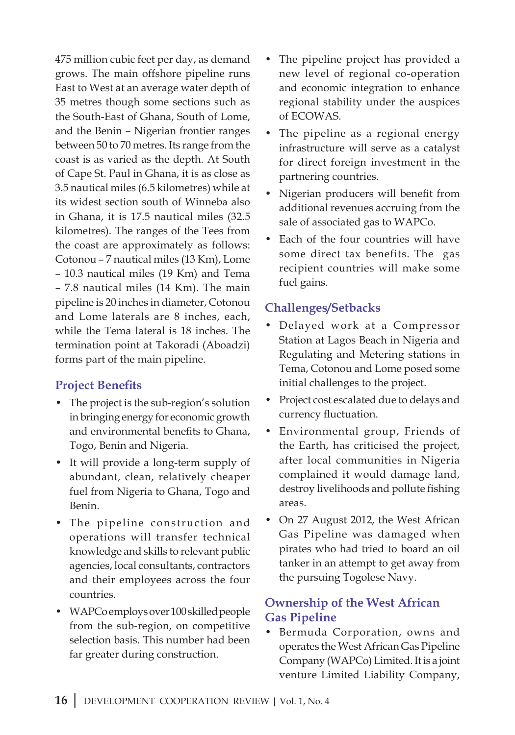475 million cubic feet per day, as demand grows. The main offshore pipeline runs East to West at an average water depth of 35 metres though some sections such as the South-East of Ghana, South of Lome, and the Benin – Nigerian frontier ranges between 50 to 70 metres. Its range from the coast is as varied as the depth. At South of Cape St. Paul in Ghana, it is as close as 3.5 nautical miles (6.5 kilometres) while at its widest section south of Winneba also in Ghana, it is 17.5 nautical miles (32.5 kilometres). The ranges of the Tees from the coast are approximately as follows: Cotonou – 7 nautical miles (13 Km), Lome – 10.3 nautical miles (19 Km) and Tema – 7.8 nautical miles (14 Km). The main pipeline is 20 inches in diameter, Cotonou and Lome laterals are 8 inches, each, while the Tema lateral is 18 inches. The termination point at Takoradi (Aboadzi) forms part of the main pipeline.

#### **Project Benefits**

- The project is the sub-region's solution in bringing energy for economic growth and environmental benefits to Ghana, Togo, Benin and Nigeria.
- It will provide a long-term supply of abundant, clean, relatively cheaper fuel from Nigeria to Ghana, Togo and Benin.
- The pipeline construction and operations will transfer technical knowledge and skills to relevant public agencies, local consultants, contractors and their employees across the four countries.
- WAPCo employs over 100 skilled people from the sub-region, on competitive selection basis. This number had been far greater during construction.
- The pipeline project has provided a new level of regional co-operation and economic integration to enhance regional stability under the auspices of ECOWAS.
- The pipeline as a regional energy infrastructure will serve as a catalyst for direct foreign investment in the partnering countries.
- Nigerian producers will benefit from additional revenues accruing from the sale of associated gas to WAPCo.
- Each of the four countries will have some direct tax benefits. The gas recipient countries will make some fuel gains.

#### **Challenges/Setbacks**

- Delayed work at a Compressor Station at Lagos Beach in Nigeria and Regulating and Metering stations in Tema, Cotonou and Lome posed some initial challenges to the project.
- Project cost escalated due to delays and currency fluctuation.
- Environmental group, Friends of the Earth, has criticised the project, after local communities in Nigeria complained it would damage land, destroy livelihoods and pollute fishing areas.
- On 27 August 2012, the West African Gas Pipeline was damaged when pirates who had tried to board an oil tanker in an attempt to get away from the pursuing Togolese Navy.

#### **Ownership of the West African Gas Pipeline**

• Bermuda Corporation, owns and operates the West African Gas Pipeline Company (WAPCo) Limited. It is a joint venture Limited Liability Company,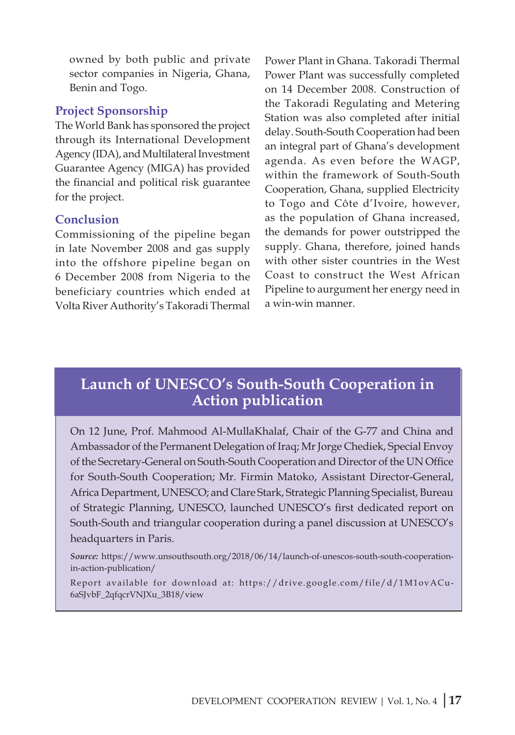owned by both public and private sector companies in Nigeria, Ghana, Benin and Togo.

#### **Project Sponsorship**

The World Bank has sponsored the project through its International Development Agency (IDA), and Multilateral Investment Guarantee Agency (MIGA) has provided the financial and political risk guarantee for the project.

#### **Conclusion**

Commissioning of the pipeline began in late November 2008 and gas supply into the offshore pipeline began on 6 December 2008 from Nigeria to the beneficiary countries which ended at Volta River Authority's Takoradi Thermal Power Plant in Ghana. Takoradi Thermal Power Plant was successfully completed on 14 December 2008. Construction of the Takoradi Regulating and Metering Station was also completed after initial delay. South-South Cooperation had been an integral part of Ghana's development agenda. As even before the WAGP, within the framework of South-South Cooperation, Ghana, supplied Electricity to Togo and Côte d'Ivoire, however, as the population of Ghana increased, the demands for power outstripped the supply. Ghana, therefore, joined hands with other sister countries in the West Coast to construct the West African Pipeline to aurgument her energy need in a win-win manner.

#### **Launch of UNESCO's South-South Cooperation in Action publication**

On 12 June, Prof. Mahmood Al-MullaKhalaf, Chair of the G-77 and China and Ambassador of the Permanent Delegation of Iraq; Mr Jorge Chediek, Special Envoy of the Secretary-General on South-South Cooperation and Director of the UN Office for South-South Cooperation; Mr. Firmin Matoko, Assistant Director-General, Africa Department, UNESCO; and Clare Stark, Strategic Planning Specialist, Bureau of Strategic Planning, UNESCO, launched UNESCO's first dedicated report on South-South and triangular cooperation during a panel discussion at UNESCO's headquarters in Paris.

*Source:* https://www.unsouthsouth.org/2018/06/14/launch-of-unescos-south-south-cooperationin-action-publication/

Report available for download at: https://drive.google.com/file/d/1M1ovACu-6aSJvbF\_2qfqcrVNJXu\_3B18/view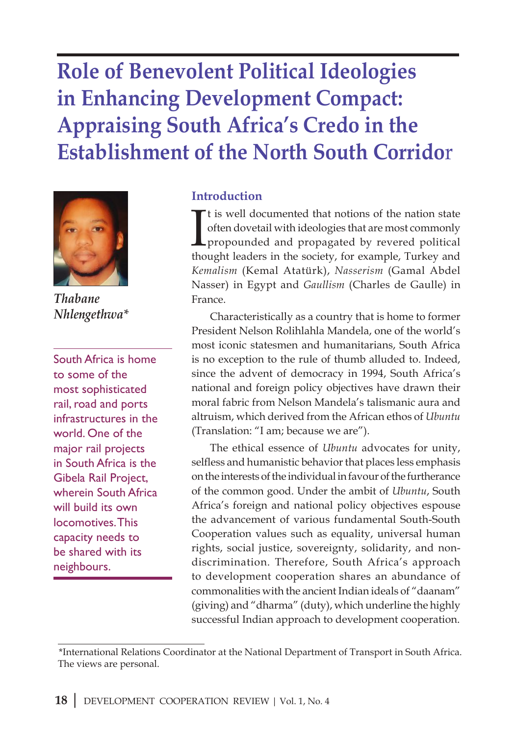# **Role of Benevolent Political Ideologies in Enhancing Development Compact: Appraising South Africa's Credo in the Establishment of the North South Corrido**r



*Thabane Nhlengethwa\**

South Africa is home to some of the most sophisticated rail, road and ports infrastructures in the world. One of the major rail projects in South Africa is the Gibela Rail Project, wherein South Africa will build its own locomotives. This capacity needs to be shared with its neighbours.

#### **Introduction**

It is well documented that notions of the nation state<br>often dovetail with ideologies that are most commonly<br>propounded and propagated by revered political<br>thought leaders in the society, for example, Turkey and t is well documented that notions of the nation state often dovetail with ideologies that are most commonly propounded and propagated by revered political *Kemalism* (Kemal Atatürk), *Nasserism* (Gamal Abdel Nasser) in Egypt and *Gaullism* (Charles de Gaulle) in France.

Characteristically as a country that is home to former President Nelson Rolihlahla Mandela, one of the world's most iconic statesmen and humanitarians, South Africa is no exception to the rule of thumb alluded to. Indeed, since the advent of democracy in 1994, South Africa's national and foreign policy objectives have drawn their moral fabric from Nelson Mandela's talismanic aura and altruism, which derived from the African ethos of *Ubuntu* (Translation: "I am; because we are").

The ethical essence of *Ubuntu* advocates for unity, selfless and humanistic behavior that places less emphasis on the interests of the individual in favour of the furtherance of the common good. Under the ambit of *Ubuntu*, South Africa's foreign and national policy objectives espouse the advancement of various fundamental South-South Cooperation values such as equality, universal human rights, social justice, sovereignty, solidarity, and nondiscrimination. Therefore, South Africa's approach to development cooperation shares an abundance of commonalities with the ancient Indian ideals of "daanam" (giving) and "dharma" (duty), which underline the highly successful Indian approach to development cooperation.

<sup>\*</sup>International Relations Coordinator at the National Department of Transport in South Africa. The views are personal.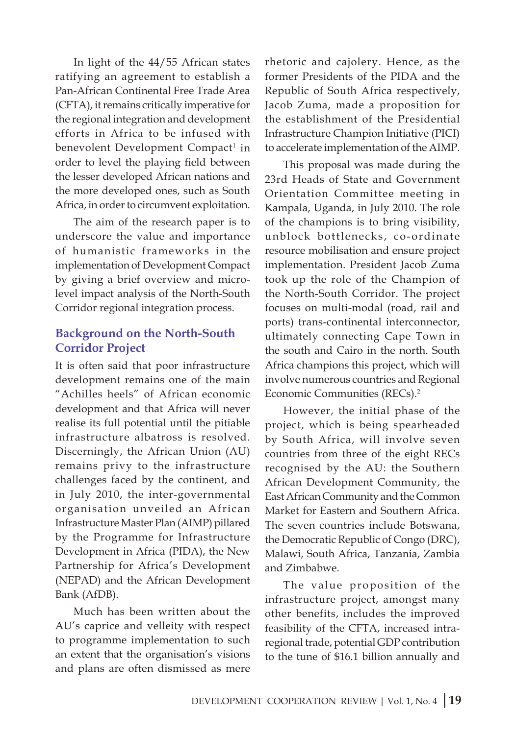In light of the 44/55 African states ratifying an agreement to establish a Pan-African Continental Free Trade Area (CFTA), it remains critically imperative for the regional integration and development efforts in Africa to be infused with benevolent Development Compact<sup>1</sup> in order to level the playing field between the lesser developed African nations and the more developed ones, such as South Africa, in order to circumvent exploitation.

The aim of the research paper is to underscore the value and importance of humanistic frameworks in the implementation of Development Compact by giving a brief overview and microlevel impact analysis of the North-South Corridor regional integration process.

#### **Background on the North-South Corridor Project**

It is often said that poor infrastructure development remains one of the main "Achilles heels" of African economic development and that Africa will never realise its full potential until the pitiable infrastructure albatross is resolved. Discerningly, the African Union (AU) remains privy to the infrastructure challenges faced by the continent, and in July 2010, the inter-governmental organisation unveiled an African Infrastructure Master Plan (AIMP) pillared by the Programme for Infrastructure Development in Africa (PIDA), the New Partnership for Africa's Development (NEPAD) and the African Development Bank (AfDB).

Much has been written about the AU's caprice and velleity with respect to programme implementation to such an extent that the organisation's visions and plans are often dismissed as mere

rhetoric and cajolery. Hence, as the former Presidents of the PIDA and the Republic of South Africa respectively, Jacob Zuma, made a proposition for the establishment of the Presidential Infrastructure Champion Initiative (PICI) to accelerate implementation of the AIMP.

This proposal was made during the 23rd Heads of State and Government Orientation Committee meeting in Kampala, Uganda, in July 2010. The role of the champions is to bring visibility, unblock bottlenecks, co-ordinate resource mobilisation and ensure project implementation. President Jacob Zuma took up the role of the Champion of the North-South Corridor. The project focuses on multi-modal (road, rail and ports) trans-continental interconnector, ultimately connecting Cape Town in the south and Cairo in the north. South Africa champions this project, which will involve numerous countries and Regional Economic Communities (RECs).2

However, the initial phase of the project, which is being spearheaded by South Africa, will involve seven countries from three of the eight RECs recognised by the AU: the Southern African Development Community, the East African Community and the Common Market for Eastern and Southern Africa. The seven countries include Botswana, the Democratic Republic of Congo (DRC), Malawi, South Africa, Tanzania, Zambia and Zimbabwe.

The value proposition of the infrastructure project, amongst many other benefits, includes the improved feasibility of the CFTA, increased intraregional trade, potential GDP contribution to the tune of \$16.1 billion annually and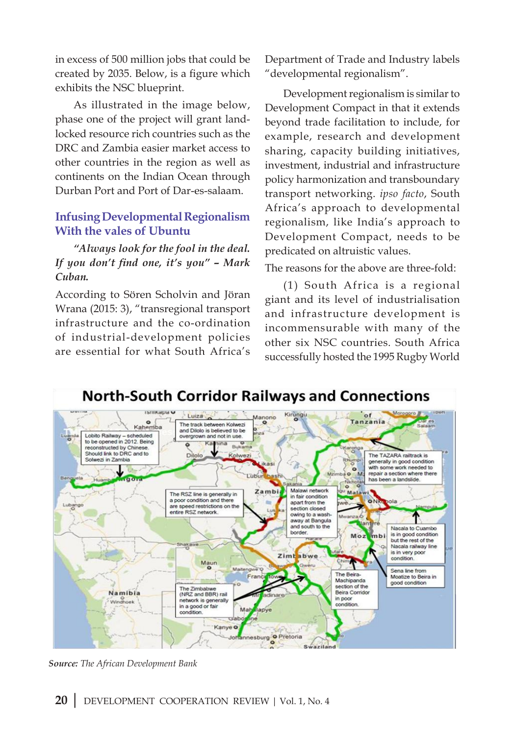in excess of 500 million jobs that could be created by 2035. Below, is a figure which exhibits the NSC blueprint.

As illustrated in the image below, phase one of the project will grant landlocked resource rich countries such as the DRC and Zambia easier market access to other countries in the region as well as continents on the Indian Ocean through Durban Port and Port of Dar-es-salaam.

#### **Infusing Developmental Regionalism With the vales of Ubuntu**

*"Always look for the fool in the deal. If you don't find one, it's you" – Mark Cuban.*

According to Sören Scholvin and Jöran Wrana (2015: 3), "transregional transport infrastructure and the co-ordination of industrial-development policies are essential for what South Africa's Department of Trade and Industry labels "developmental regionalism".

Development regionalism is similar to Development Compact in that it extends beyond trade facilitation to include, for example, research and development sharing, capacity building initiatives, investment, industrial and infrastructure policy harmonization and transboundary transport networking. *ipso facto*, South Africa's approach to developmental regionalism, like India's approach to Development Compact, needs to be predicated on altruistic values.

The reasons for the above are three-fold:

(1) South Africa is a regional giant and its level of industrialisation and infrastructure development is incommensurable with many of the other six NSC countries. South Africa successfully hosted the 1995 Rugby World



*Source: The African Development Bank*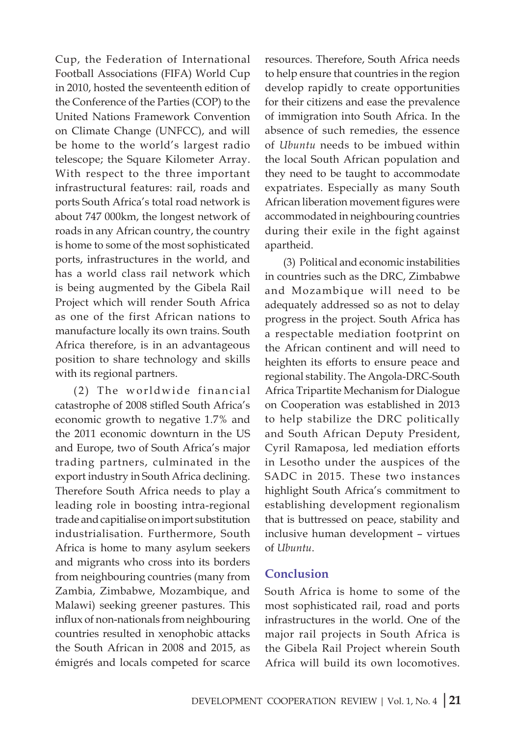Cup, the Federation of International Football Associations (FIFA) World Cup in 2010, hosted the seventeenth edition of the Conference of the Parties (COP) to the United Nations Framework Convention on Climate Change (UNFCC), and will be home to the world's largest radio telescope; the Square Kilometer Array. With respect to the three important infrastructural features: rail, roads and ports South Africa's total road network is about 747 000km, the longest network of roads in any African country, the country is home to some of the most sophisticated ports, infrastructures in the world, and has a world class rail network which is being augmented by the Gibela Rail Project which will render South Africa as one of the first African nations to manufacture locally its own trains. South Africa therefore, is in an advantageous position to share technology and skills with its regional partners.

 $(2)$  The worldwide financial catastrophe of 2008 stifled South Africa's economic growth to negative 1.7% and the 2011 economic downturn in the US and Europe, two of South Africa's major trading partners, culminated in the export industry in South Africa declining. Therefore South Africa needs to play a leading role in boosting intra-regional trade and capitialise on import substitution industrialisation. Furthermore, South Africa is home to many asylum seekers and migrants who cross into its borders from neighbouring countries (many from Zambia, Zimbabwe, Mozambique, and Malawi) seeking greener pastures. This influx of non-nationals from neighbouring countries resulted in xenophobic attacks the South African in 2008 and 2015, as émigrés and locals competed for scarce

resources. Therefore, South Africa needs to help ensure that countries in the region develop rapidly to create opportunities for their citizens and ease the prevalence of immigration into South Africa. In the absence of such remedies, the essence of *Ubuntu* needs to be imbued within the local South African population and they need to be taught to accommodate expatriates. Especially as many South African liberation movement figures were accommodated in neighbouring countries during their exile in the fight against apartheid.

(3) Political and economic instabilities in countries such as the DRC, Zimbabwe and Mozambique will need to be adequately addressed so as not to delay progress in the project. South Africa has a respectable mediation footprint on the African continent and will need to heighten its efforts to ensure peace and regional stability. The Angola-DRC-South Africa Tripartite Mechanism for Dialogue on Cooperation was established in 2013 to help stabilize the DRC politically and South African Deputy President, Cyril Ramaposa, led mediation efforts in Lesotho under the auspices of the SADC in 2015. These two instances highlight South Africa's commitment to establishing development regionalism that is buttressed on peace, stability and inclusive human development – virtues of *Ubuntu*.

#### **Conclusion**

South Africa is home to some of the most sophisticated rail, road and ports infrastructures in the world. One of the major rail projects in South Africa is the Gibela Rail Project wherein South Africa will build its own locomotives.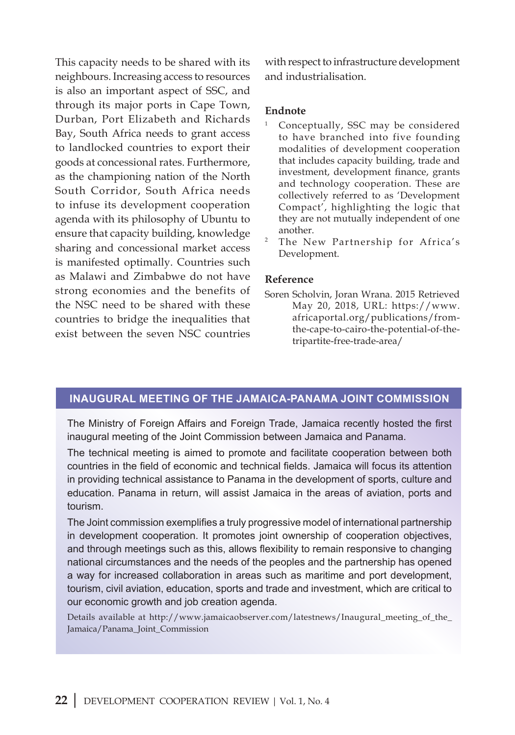This capacity needs to be shared with its neighbours. Increasing access to resources is also an important aspect of SSC, and through its major ports in Cape Town, Durban, Port Elizabeth and Richards Bay, South Africa needs to grant access to landlocked countries to export their goods at concessional rates. Furthermore, as the championing nation of the North South Corridor, South Africa needs to infuse its development cooperation agenda with its philosophy of Ubuntu to ensure that capacity building, knowledge sharing and concessional market access is manifested optimally. Countries such as Malawi and Zimbabwe do not have strong economies and the benefits of the NSC need to be shared with these countries to bridge the inequalities that exist between the seven NSC countries with respect to infrastructure development and industrialisation.

#### **Endnote**

- <sup>1</sup> Conceptually, SSC may be considered to have branched into five founding modalities of development cooperation that includes capacity building, trade and investment, development finance, grants and technology cooperation. These are collectively referred to as 'Development Compact', highlighting the logic that they are not mutually independent of one another.
- <sup>2</sup> The New Partnership for Africa's Development.

#### **Reference**

Soren Scholvin, Joran Wrana. 2015 Retrieved May 20, 2018, URL: https://www. africaportal.org/publications/fromthe-cape-to-cairo-the-potential-of-thetripartite-free-trade-area/

#### **Inaugural meeting of the Jamaica-Panama Joint Commission**

The Ministry of Foreign Affairs and Foreign Trade, Jamaica recently hosted the first inaugural meeting of the Joint Commission between Jamaica and Panama.

The technical meeting is aimed to promote and facilitate cooperation between both countries in the field of economic and technical fields. Jamaica will focus its attention in providing technical assistance to Panama in the development of sports, culture and education. Panama in return, will assist Jamaica in the areas of aviation, ports and tourism.

The Joint commission exemplifies a truly progressive model of international partnership in development cooperation. It promotes joint ownership of cooperation objectives, and through meetings such as this, allows flexibility to remain responsive to changing national circumstances and the needs of the peoples and the partnership has opened a way for increased collaboration in areas such as maritime and port development, tourism, civil aviation, education, sports and trade and investment, which are critical to our economic growth and job creation agenda.

Details available at http://www.jamaicaobserver.com/latestnews/Inaugural\_meeting\_of\_the\_ Jamaica/Panama\_Joint\_Commission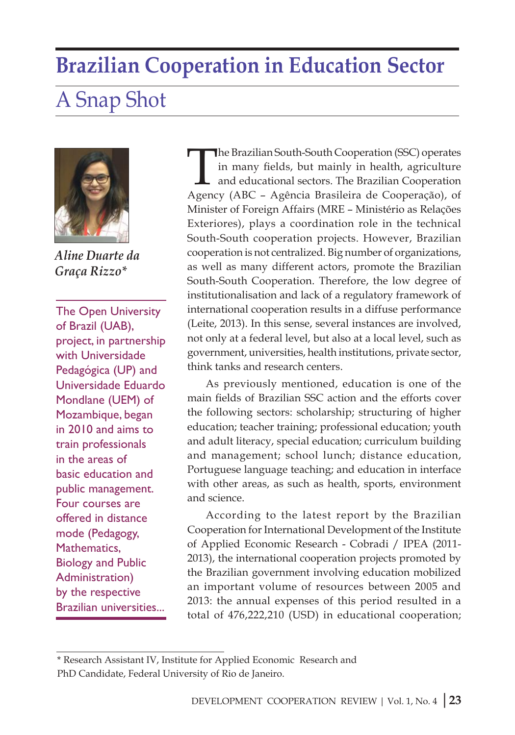### **Brazilian Cooperation in Education Sector**

## A Snap Shot



*Aline Duarte da Graça Rizzo\** 

The Open University of Brazil (UAB), project, in partnership with Universidade Pedagógica (UP) and Universidade Eduardo Mondlane (UEM) of Mozambique, began in 2010 and aims to train professionals in the areas of basic education and public management. Four courses are offered in distance mode (Pedagogy, Mathematics, Biology and Public Administration) by the respective Brazilian universities...

The Brazilian South-South Cooperation (SSC) operates in many fields, but mainly in health, agriculture and educational sectors. The Brazilian Cooperation Agency (ABC – Agência Brasileira de Cooperação), of Minister of Foreign Affairs (MRE – Ministério as Relações Exteriores), plays a coordination role in the technical South-South cooperation projects. However, Brazilian cooperation is not centralized. Big number of organizations, as well as many different actors, promote the Brazilian South-South Cooperation. Therefore, the low degree of institutionalisation and lack of a regulatory framework of international cooperation results in a diffuse performance (Leite, 2013). In this sense, several instances are involved, not only at a federal level, but also at a local level, such as government, universities, health institutions, private sector, think tanks and research centers.

As previously mentioned, education is one of the main fields of Brazilian SSC action and the efforts cover the following sectors: scholarship; structuring of higher education; teacher training; professional education; youth and adult literacy, special education; curriculum building and management; school lunch; distance education, Portuguese language teaching; and education in interface with other areas, as such as health, sports, environment and science.

According to the latest report by the Brazilian Cooperation for International Development of the Institute of Applied Economic Research - Cobradi / IPEA (2011- 2013), the international cooperation projects promoted by the Brazilian government involving education mobilized an important volume of resources between 2005 and 2013: the annual expenses of this period resulted in a total of 476,222,210 (USD) in educational cooperation;

<sup>\*</sup> Research Assistant IV, Institute for Applied Economic Research and PhD Candidate, Federal University of Rio de Janeiro.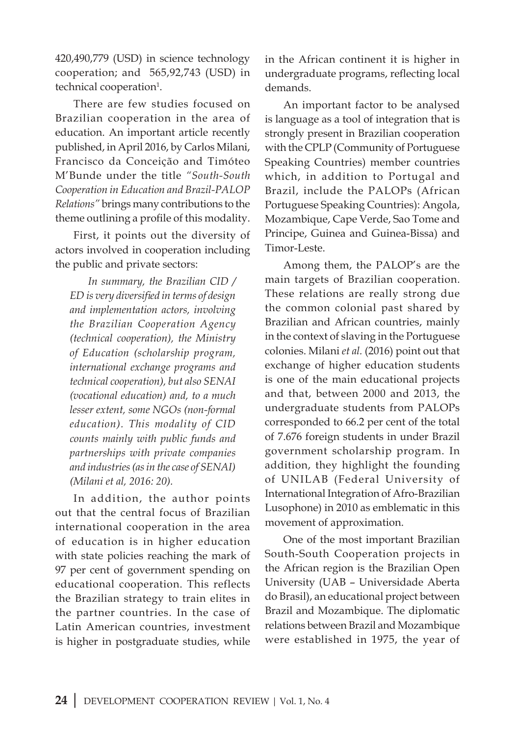420,490,779 (USD) in science technology cooperation; and 565,92,743 (USD) in technical cooperation<sup>1</sup>.

There are few studies focused on Brazilian cooperation in the area of education. An important article recently published, in April 2016, by Carlos Milani, Francisco da Conceição and Timóteo M'Bunde under the title *"South-South Cooperation in Education and Brazil-PALOP Relations"* brings many contributions to the theme outlining a profile of this modality.

First, it points out the diversity of actors involved in cooperation including the public and private sectors:

*In summary, the Brazilian CID / ED is very diversified in terms of design and implementation actors, involving the Brazilian Cooperation Agency (technical cooperation), the Ministry of Education (scholarship program, international exchange programs and technical cooperation), but also SENAI (vocational education) and, to a much lesser extent, some NGOs (non-formal education). This modality of CID counts mainly with public funds and partnerships with private companies and industries (as in the case of SENAI) (Milani et al, 2016: 20).*

In addition, the author points out that the central focus of Brazilian international cooperation in the area of education is in higher education with state policies reaching the mark of 97 per cent of government spending on educational cooperation. This reflects the Brazilian strategy to train elites in the partner countries. In the case of Latin American countries, investment is higher in postgraduate studies, while

in the African continent it is higher in undergraduate programs, reflecting local demands.

An important factor to be analysed is language as a tool of integration that is strongly present in Brazilian cooperation with the CPLP (Community of Portuguese Speaking Countries) member countries which, in addition to Portugal and Brazil, include the PALOPs (African Portuguese Speaking Countries): Angola, Mozambique, Cape Verde, Sao Tome and Principe, Guinea and Guinea-Bissa) and Timor-Leste.

Among them, the PALOP's are the main targets of Brazilian cooperation. These relations are really strong due the common colonial past shared by Brazilian and African countries, mainly in the context of slaving in the Portuguese colonies. Milani *et al.* (2016) point out that exchange of higher education students is one of the main educational projects and that, between 2000 and 2013, the undergraduate students from PALOPs corresponded to 66.2 per cent of the total of 7.676 foreign students in under Brazil government scholarship program. In addition, they highlight the founding of UNILAB (Federal University of International Integration of Afro-Brazilian Lusophone) in 2010 as emblematic in this movement of approximation.

One of the most important Brazilian South-South Cooperation projects in the African region is the Brazilian Open University (UAB – Universidade Aberta do Brasil), an educational project between Brazil and Mozambique. The diplomatic relations between Brazil and Mozambique were established in 1975, the year of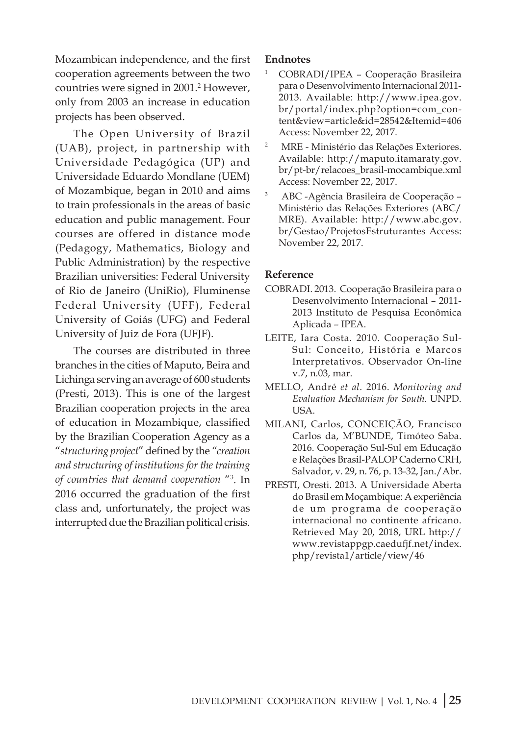Mozambican independence, and the first cooperation agreements between the two countries were signed in 2001.<sup>2</sup> However, only from 2003 an increase in education projects has been observed.

The Open University of Brazil (UAB), project, in partnership with Universidade Pedagógica (UP) and Universidade Eduardo Mondlane (UEM) of Mozambique, began in 2010 and aims to train professionals in the areas of basic education and public management. Four courses are offered in distance mode (Pedagogy, Mathematics, Biology and Public Administration) by the respective Brazilian universities: Federal University of Rio de Janeiro (UniRio), Fluminense Federal University (UFF), Federal University of Goiás (UFG) and Federal University of Juiz de Fora (UFJF).

The courses are distributed in three branches in the cities of Maputo, Beira and Lichinga serving an average of 600 students (Presti, 2013). This is one of the largest Brazilian cooperation projects in the area of education in Mozambique, classified by the Brazilian Cooperation Agency as a "*structuring project*" defined by the *"creation and structuring of institutions for the training of countries that demand cooperation* "3 . In 2016 occurred the graduation of the first class and, unfortunately, the project was interrupted due the Brazilian political crisis.

#### **Endnotes**

- <sup>1</sup> COBRADI/IPEA Cooperação Brasileira para o Desenvolvimento Internacional 2011- 2013. Available: http://www.ipea.gov. br/portal/index.php?option=com\_content&view=article&id=28542&Itemid=406 Access: November 22, 2017.
- 2 MRE Ministério das Relações Exteriores. Available: http://maputo.itamaraty.gov. br/pt-br/relacoes\_brasil-mocambique.xml Access: November 22, 2017.
- 3 ABC -Agência Brasileira de Cooperação Ministério das Relações Exteriores (ABC/ MRE). Available: http://www.abc.gov. br/Gestao/ProjetosEstruturantes Access: November 22, 2017.

#### **Reference**

- COBRADI. 2013. Cooperação Brasileira para o Desenvolvimento Internacional – 2011- 2013 Instituto de Pesquisa Econômica Aplicada – IPEA.
- LEITE, Iara Costa. 2010. Cooperação Sul-Sul: Conceito, História e Marcos Interpretativos. Observador On-line v.7, n.03, mar.
- MELLO, André *et al*. 2016. *Monitoring and Evaluation Mechanism for South.* UNPD. USA.
- MILANI, Carlos, CONCEIÇÃO, Francisco Carlos da, M'BUNDE, Timóteo Saba. 2016. Cooperação Sul-Sul em Educação e Relações Brasil-PALOP Caderno CRH, Salvador, v. 29, n. 76, p. 13-32, Jan./Abr.
- PRESTI, Oresti. 2013. A Universidade Aberta do Brasil em Moçambique: A experiência de um programa de cooperação internacional no continente africano. Retrieved May 20, 2018, URL http:// www.revistappgp.caedufjf.net/index. php/revista1/article/view/46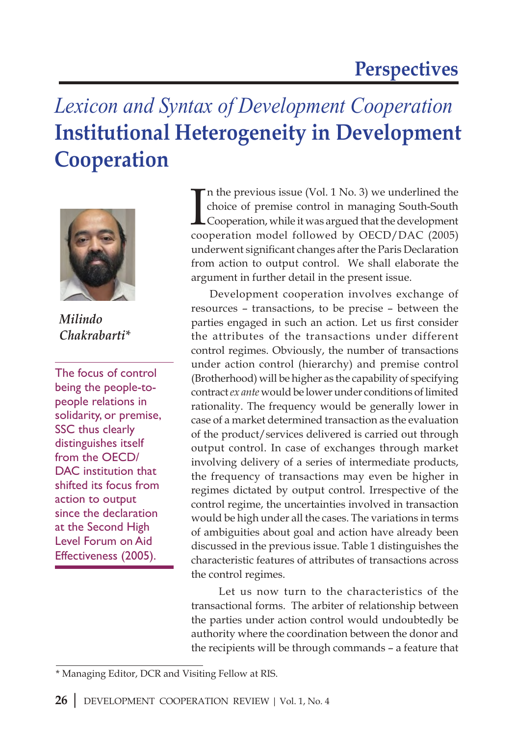# *Lexicon and Syntax of Development Cooperation*  **Institutional Heterogeneity in Development Cooperation**



*Milindo Chakrabarti\**

The focus of control being the people-topeople relations in solidarity, or premise, SSC thus clearly distinguishes itself from the OECD/ DAC institution that shifted its focus from action to output since the declaration at the Second High Level Forum on Aid Effectiveness (2005).

I n the previous issue (Vol. 1 No. 3) we underlined the choice of premise control in managing South-South Cooperation, while it was argued that the development cooperation model followed by OECD/DAC (2005) underwent significant changes after the Paris Declaration from action to output control. We shall elaborate the argument in further detail in the present issue.

Development cooperation involves exchange of resources – transactions, to be precise – between the parties engaged in such an action. Let us first consider the attributes of the transactions under different control regimes. Obviously, the number of transactions under action control (hierarchy) and premise control (Brotherhood) will be higher as the capability of specifying contract *ex ante* would be lower under conditions of limited rationality. The frequency would be generally lower in case of a market determined transaction as the evaluation of the product/services delivered is carried out through output control. In case of exchanges through market involving delivery of a series of intermediate products, the frequency of transactions may even be higher in regimes dictated by output control. Irrespective of the control regime, the uncertainties involved in transaction would be high under all the cases. The variations in terms of ambiguities about goal and action have already been discussed in the previous issue. Table 1 distinguishes the characteristic features of attributes of transactions across the control regimes.

 Let us now turn to the characteristics of the transactional forms. The arbiter of relationship between the parties under action control would undoubtedly be authority where the coordination between the donor and the recipients will be through commands – a feature that

<sup>\*</sup> Managing Editor, DCR and Visiting Fellow at RIS.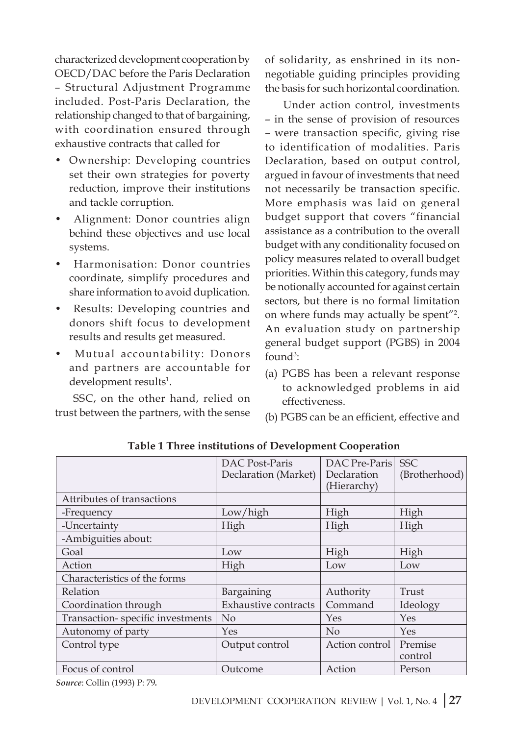characterized development cooperation by OECD/DAC before the Paris Declaration – Structural Adjustment Programme included. Post-Paris Declaration, the relationship changed to that of bargaining, with coordination ensured through exhaustive contracts that called for

- Ownership: Developing countries set their own strategies for poverty reduction, improve their institutions and tackle corruption.
- Alignment: Donor countries align behind these objectives and use local systems.
- Harmonisation: Donor countries coordinate, simplify procedures and share information to avoid duplication.
- Results: Developing countries and donors shift focus to development results and results get measured.
- Mutual accountability: Donors and partners are accountable for development results<sup>1</sup>.

SSC, on the other hand, relied on trust between the partners, with the sense of solidarity, as enshrined in its nonnegotiable guiding principles providing the basis for such horizontal coordination.

Under action control, investments – in the sense of provision of resources – were transaction specific, giving rise to identification of modalities. Paris Declaration, based on output control, argued in favour of investments that need not necessarily be transaction specific. More emphasis was laid on general budget support that covers "financial assistance as a contribution to the overall budget with any conditionality focused on policy measures related to overall budget priorities. Within this category, funds may be notionally accounted for against certain sectors, but there is no formal limitation on where funds may actually be spent"2 . An evaluation study on partnership general budget support (PGBS) in 2004 found<sup>3</sup>:

- (a) PGBS has been a relevant response to acknowledged problems in aid effectiveness.
- (b) PGBS can be an efficient, effective and

|                                  | DAC Post-Paris<br>Declaration (Market) | DAC Pre-Paris<br>Declaration<br>(Hierarchy) | <b>SSC</b><br>(Brotherhood) |
|----------------------------------|----------------------------------------|---------------------------------------------|-----------------------------|
| Attributes of transactions       |                                        |                                             |                             |
| -Frequency                       | Low/high                               | High                                        | High                        |
| -Uncertainty                     | High                                   | High                                        | High                        |
| -Ambiguities about:              |                                        |                                             |                             |
| Goal                             | Low                                    | High                                        | High                        |
| Action                           | High                                   | Low                                         | Low                         |
| Characteristics of the forms     |                                        |                                             |                             |
| Relation                         | Bargaining                             | Authority                                   | Trust                       |
| Coordination through             | <b>Exhaustive contracts</b>            | Command                                     | Ideology                    |
| Transaction-specific investments | No                                     | Yes                                         | Yes                         |
| Autonomy of party                | Yes                                    | No                                          | Yes                         |
| Control type                     | Output control                         | Action control                              | Premise<br>control          |
| Focus of control                 | Outcome                                | Action                                      | Person                      |

 **Table 1 Three institutions of Development Cooperation**

*Source*: Collin (1993) P: 79*.*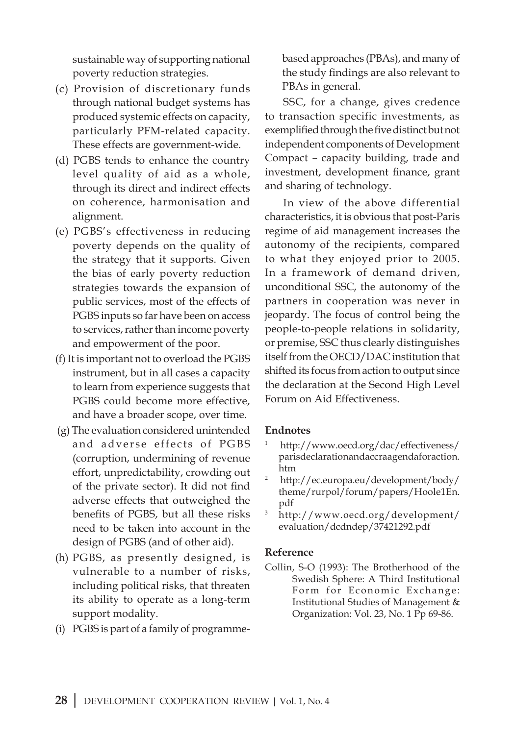sustainable way of supporting national poverty reduction strategies.

- (c) Provision of discretionary funds through national budget systems has produced systemic effects on capacity, particularly PFM-related capacity. These effects are government-wide.
- (d) PGBS tends to enhance the country level quality of aid as a whole, through its direct and indirect effects on coherence, harmonisation and alignment.
- (e) PGBS's effectiveness in reducing poverty depends on the quality of the strategy that it supports. Given the bias of early poverty reduction strategies towards the expansion of public services, most of the effects of PGBS inputs so far have been on access to services, rather than income poverty and empowerment of the poor.
- (f) It is important not to overload the PGBS instrument, but in all cases a capacity to learn from experience suggests that PGBS could become more effective, and have a broader scope, over time.
- (g) The evaluation considered unintended and adverse effects of PGBS (corruption, undermining of revenue effort, unpredictability, crowding out of the private sector). It did not find adverse effects that outweighed the benefits of PGBS, but all these risks need to be taken into account in the design of PGBS (and of other aid).
- (h) PGBS, as presently designed, is vulnerable to a number of risks, including political risks, that threaten its ability to operate as a long-term support modality.
- (i) PGBS is part of a family of programme-

based approaches (PBAs), and many of the study findings are also relevant to PBAs in general.

SSC, for a change, gives credence to transaction specific investments, as exemplified through the five distinct but not independent components of Development Compact – capacity building, trade and investment, development finance, grant and sharing of technology.

In view of the above differential characteristics, it is obvious that post-Paris regime of aid management increases the autonomy of the recipients, compared to what they enjoyed prior to 2005. In a framework of demand driven, unconditional SSC, the autonomy of the partners in cooperation was never in jeopardy. The focus of control being the people-to-people relations in solidarity, or premise, SSC thus clearly distinguishes itself from the OECD/DAC institution that shifted its focus from action to output since the declaration at the Second High Level Forum on Aid Effectiveness.

#### **Endnotes**

- 1 http://www.oecd.org/dac/effectiveness/ parisdeclarationandaccraagendaforaction. htm
- 2 http://ec.europa.eu/development/body/ theme/rurpol/forum/papers/Hoole1En. pdf
- <sup>3</sup> http://www.oecd.org/development/ evaluation/dcdndep/37421292.pdf

#### **Reference**

Collin, S-O (1993): The Brotherhood of the Swedish Sphere: A Third Institutional Form for Economic Exchange: Institutional Studies of Management & Organization: Vol. 23, No. 1 Pp 69-86.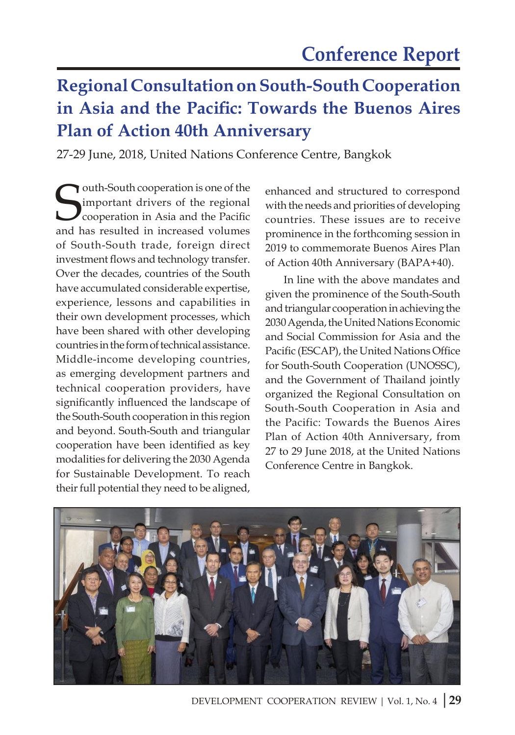### **Regional Consultation on South-South Cooperation in Asia and the Pacific: Towards the Buenos Aires Plan of Action 40th Anniversary**

27-29 June, 2018, United Nations Conference Centre, Bangkok

**South-South cooperation is one of the Superation** in Asia and the Pacific and has resulted in increased volumes outh-South cooperation is one of the important drivers of the regional cooperation in Asia and the Pacific of South-South trade, foreign direct investment flows and technology transfer. Over the decades, countries of the South have accumulated considerable expertise, experience, lessons and capabilities in their own development processes, which have been shared with other developing countries in the form of technical assistance. Middle-income developing countries, as emerging development partners and technical cooperation providers, have significantly influenced the landscape of the South-South cooperation in this region and beyond. South-South and triangular cooperation have been identified as key modalities for delivering the 2030 Agenda for Sustainable Development. To reach their full potential they need to be aligned,

enhanced and structured to correspond with the needs and priorities of developing countries. These issues are to receive prominence in the forthcoming session in 2019 to commemorate Buenos Aires Plan of Action 40th Anniversary (BAPA+40).

In line with the above mandates and given the prominence of the South-South and triangular cooperation in achieving the 2030 Agenda, the United Nations Economic and Social Commission for Asia and the Pacific (ESCAP), the United Nations Office for South-South Cooperation (UNOSSC), and the Government of Thailand jointly organized the Regional Consultation on South-South Cooperation in Asia and the Pacific: Towards the Buenos Aires Plan of Action 40th Anniversary, from 27 to 29 June 2018, at the United Nations Conference Centre in Bangkok.

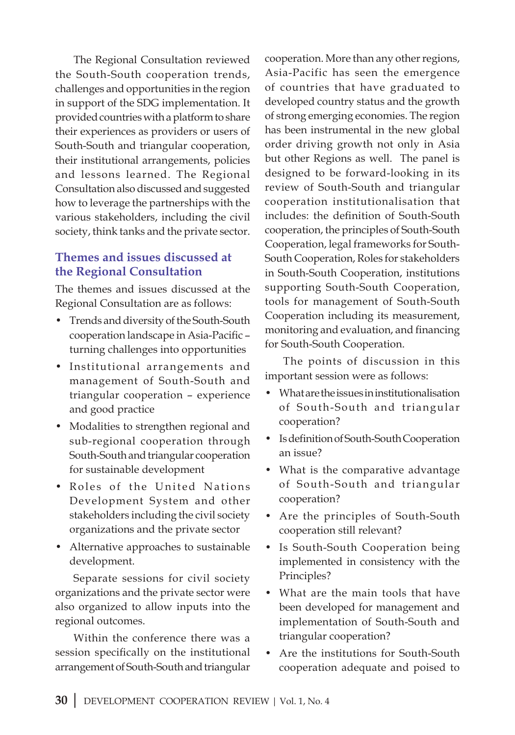The Regional Consultation reviewed the South-South cooperation trends, challenges and opportunities in the region in support of the SDG implementation. It provided countries with a platform to share their experiences as providers or users of South-South and triangular cooperation, their institutional arrangements, policies and lessons learned. The Regional Consultation also discussed and suggested how to leverage the partnerships with the various stakeholders, including the civil society, think tanks and the private sector.

#### **Themes and issues discussed at the Regional Consultation**

The themes and issues discussed at the Regional Consultation are as follows:

- Trends and diversity of the South-South cooperation landscape in Asia-Pacific – turning challenges into opportunities
- Institutional arrangements and management of South-South and triangular cooperation – experience and good practice
- Modalities to strengthen regional and sub-regional cooperation through South-South and triangular cooperation for sustainable development
- Roles of the United Nations Development System and other stakeholders including the civil society organizations and the private sector
- Alternative approaches to sustainable development.

Separate sessions for civil society organizations and the private sector were also organized to allow inputs into the regional outcomes.

Within the conference there was a session specifically on the institutional arrangement of South-South and triangular cooperation. More than any other regions, Asia-Pacific has seen the emergence of countries that have graduated to developed country status and the growth of strong emerging economies. The region has been instrumental in the new global order driving growth not only in Asia but other Regions as well. The panel is designed to be forward-looking in its review of South-South and triangular cooperation institutionalisation that includes: the definition of South-South cooperation, the principles of South-South Cooperation, legal frameworks for South-South Cooperation, Roles for stakeholders in South-South Cooperation, institutions supporting South-South Cooperation, tools for management of South-South Cooperation including its measurement, monitoring and evaluation, and financing for South-South Cooperation.

The points of discussion in this important session were as follows:

- What are the issues in institutionalisation of South-South and triangular cooperation?
- Is definition of South-South Cooperation an issue?
- What is the comparative advantage of South-South and triangular cooperation?
- Are the principles of South-South cooperation still relevant?
- Is South-South Cooperation being implemented in consistency with the Principles?
- What are the main tools that have been developed for management and implementation of South-South and triangular cooperation?
- Are the institutions for South-South cooperation adequate and poised to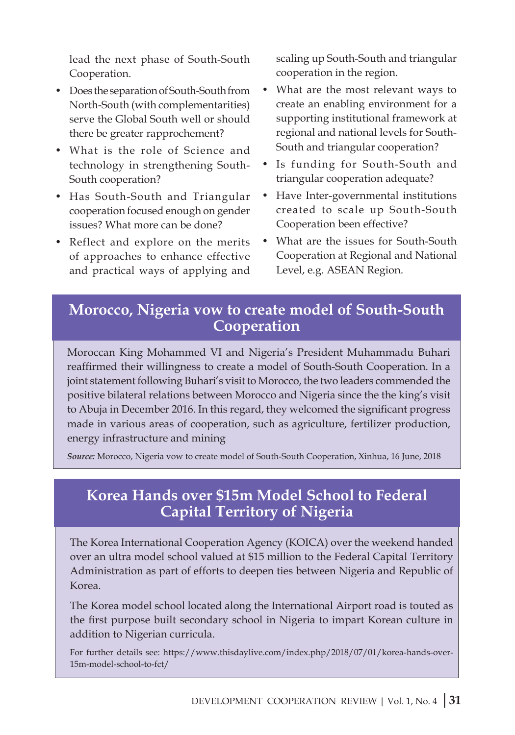lead the next phase of South-South Cooperation.

- Does the separation of South-South from North-South (with complementarities) serve the Global South well or should there be greater rapprochement?
- What is the role of Science and technology in strengthening South-South cooperation?
- Has South-South and Triangular cooperation focused enough on gender issues? What more can be done?
- Reflect and explore on the merits of approaches to enhance effective and practical ways of applying and

scaling up South-South and triangular cooperation in the region.

- What are the most relevant ways to create an enabling environment for a supporting institutional framework at regional and national levels for South-South and triangular cooperation?
- Is funding for South-South and triangular cooperation adequate?
- Have Inter-governmental institutions created to scale up South-South Cooperation been effective?
- What are the issues for South-South Cooperation at Regional and National Level, e.g. ASEAN Region.

#### **Morocco, Nigeria vow to create model of South-South Cooperation**

Moroccan King Mohammed VI and Nigeria's President Muhammadu Buhari reaffirmed their willingness to create a model of South-South Cooperation. In a joint statement following Buhari's visit to Morocco, the two leaders commended the positive bilateral relations between Morocco and Nigeria since the the king's visit to Abuja in December 2016. In this regard, they welcomed the significant progress made in various areas of cooperation, such as agriculture, fertilizer production, energy infrastructure and mining

*Source:* Morocco, Nigeria vow to create model of South-South Cooperation, Xinhua, 16 June, 2018

#### **Korea Hands over \$15m Model School to Federal Capital Territory of Nigeria**

The Korea International Cooperation Agency (KOICA) over the weekend handed over an ultra model school valued at \$15 million to the Federal Capital Territory Administration as part of efforts to deepen ties between Nigeria and Republic of Korea.

The Korea model school located along the International Airport road is touted as the first purpose built secondary school in Nigeria to impart Korean culture in addition to Nigerian curricula.

For further details see: https://www.thisdaylive.com/index.php/2018/07/01/korea-hands-over-15m-model-school-to-fct/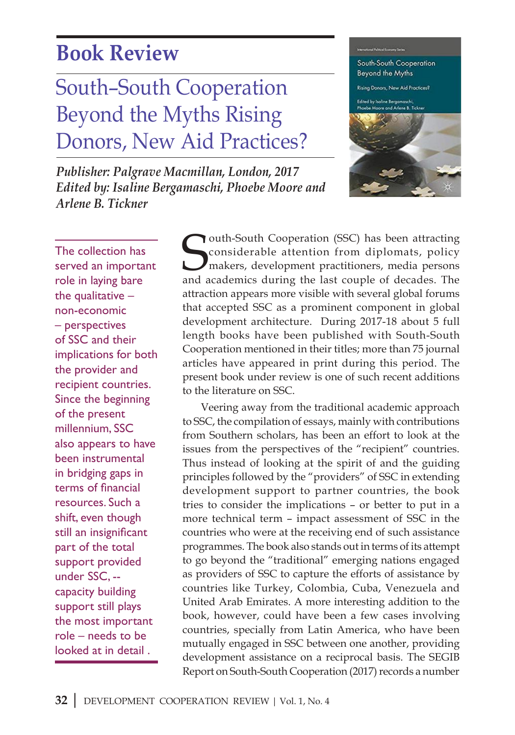### **Book Review**

# South–South Cooperation Beyond the Myths Rising Donors, New Aid Practices?

*Publisher: Palgrave Macmillan, London, 2017 Edited by: Isaline Bergamaschi, Phoebe Moore and Arlene B. Tickner*



The collection has served an important role in laying bare the qualitative  $$ non-economic – perspectives of SSC and their implications for both the provider and recipient countries. Since the beginning of the present millennium, SSC also appears to have been instrumental in bridging gaps in terms of financial resources. Such a shift, even though still an insignificant part of the total support provided under SSC, - capacity building support still plays the most important role – needs to be looked at in detail .

**COMER CONFIDENTIFY CONFIDENTIFY CONFIDENTIFY CONFIDENTIFY CONSIDER AND MORE CONFIDENTIFY CONFIDENTIFY AND ACCORDINGLY CONFIDENTIFY AND ACCORDINGLY CONFIDENTIFY AND ACCORDINGLY CONFIDENTIFY AND ACCORDINGLY CONFIDENTIFY AND** Touth-South Cooperation (SSC) has been attracting considerable attention from diplomats, policy makers, development practitioners, media persons attraction appears more visible with several global forums that accepted SSC as a prominent component in global development architecture. During 2017-18 about 5 full length books have been published with South-South Cooperation mentioned in their titles; more than 75 journal articles have appeared in print during this period. The present book under review is one of such recent additions to the literature on SSC.

Veering away from the traditional academic approach to SSC, the compilation of essays, mainly with contributions from Southern scholars, has been an effort to look at the issues from the perspectives of the "recipient" countries. Thus instead of looking at the spirit of and the guiding principles followed by the "providers" of SSC in extending development support to partner countries, the book tries to consider the implications – or better to put in a more technical term – impact assessment of SSC in the countries who were at the receiving end of such assistance programmes. The book also stands out in terms of its attempt to go beyond the "traditional" emerging nations engaged as providers of SSC to capture the efforts of assistance by countries like Turkey, Colombia, Cuba, Venezuela and United Arab Emirates. A more interesting addition to the book, however, could have been a few cases involving countries, specially from Latin America, who have been mutually engaged in SSC between one another, providing development assistance on a reciprocal basis. The SEGIB Report on South-South Cooperation (2017) records a number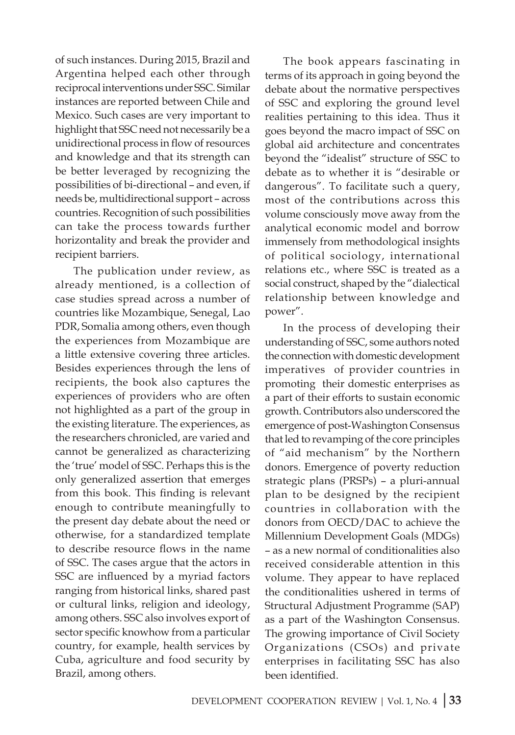of such instances. During 2015, Brazil and Argentina helped each other through reciprocal interventions under SSC. Similar instances are reported between Chile and Mexico. Such cases are very important to highlight that SSC need not necessarily be a unidirectional process in flow of resources and knowledge and that its strength can be better leveraged by recognizing the possibilities of bi-directional – and even, if needs be, multidirectional support – across countries. Recognition of such possibilities can take the process towards further horizontality and break the provider and recipient barriers.

The publication under review, as already mentioned, is a collection of case studies spread across a number of countries like Mozambique, Senegal, Lao PDR, Somalia among others, even though the experiences from Mozambique are a little extensive covering three articles. Besides experiences through the lens of recipients, the book also captures the experiences of providers who are often not highlighted as a part of the group in the existing literature. The experiences, as the researchers chronicled, are varied and cannot be generalized as characterizing the 'true' model of SSC. Perhaps this is the only generalized assertion that emerges from this book. This finding is relevant enough to contribute meaningfully to the present day debate about the need or otherwise, for a standardized template to describe resource flows in the name of SSC. The cases argue that the actors in SSC are influenced by a myriad factors ranging from historical links, shared past or cultural links, religion and ideology, among others. SSC also involves export of sector specific knowhow from a particular country, for example, health services by Cuba, agriculture and food security by Brazil, among others.

The book appears fascinating in terms of its approach in going beyond the debate about the normative perspectives of SSC and exploring the ground level realities pertaining to this idea. Thus it goes beyond the macro impact of SSC on global aid architecture and concentrates beyond the "idealist" structure of SSC to debate as to whether it is "desirable or dangerous". To facilitate such a query, most of the contributions across this volume consciously move away from the analytical economic model and borrow immensely from methodological insights of political sociology, international relations etc., where SSC is treated as a social construct, shaped by the "dialectical relationship between knowledge and power".

In the process of developing their understanding of SSC, some authors noted the connection with domestic development imperatives of provider countries in promoting their domestic enterprises as a part of their efforts to sustain economic growth. Contributors also underscored the emergence of post-Washington Consensus that led to revamping of the core principles of "aid mechanism" by the Northern donors. Emergence of poverty reduction strategic plans (PRSPs) – a pluri-annual plan to be designed by the recipient countries in collaboration with the donors from OECD/DAC to achieve the Millennium Development Goals (MDGs) – as a new normal of conditionalities also received considerable attention in this volume. They appear to have replaced the conditionalities ushered in terms of Structural Adjustment Programme (SAP) as a part of the Washington Consensus. The growing importance of Civil Society Organizations (CSOs) and private enterprises in facilitating SSC has also been identified.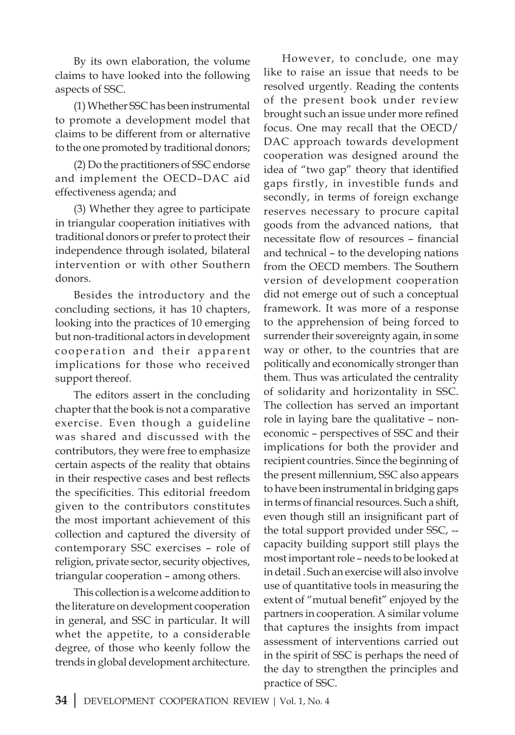By its own elaboration, the volume claims to have looked into the following aspects of SSC.

(1) Whether SSC has been instrumental to promote a development model that claims to be different from or alternative to the one promoted by traditional donors;

(2) Do the practitioners of SSC endorse and implement the OECD–DAC aid effectiveness agenda; and

(3) Whether they agree to participate in triangular cooperation initiatives with traditional donors or prefer to protect their independence through isolated, bilateral intervention or with other Southern donors.

Besides the introductory and the concluding sections, it has 10 chapters, looking into the practices of 10 emerging but non-traditional actors in development cooperation and their apparent implications for those who received support thereof.

The editors assert in the concluding chapter that the book is not a comparative exercise. Even though a guideline was shared and discussed with the contributors, they were free to emphasize certain aspects of the reality that obtains in their respective cases and best reflects the specificities. This editorial freedom given to the contributors constitutes the most important achievement of this collection and captured the diversity of contemporary SSC exercises – role of religion, private sector, security objectives, triangular cooperation – among others.

This collection is a welcome addition to the literature on development cooperation in general, and SSC in particular. It will whet the appetite, to a considerable degree, of those who keenly follow the trends in global development architecture.

However, to conclude, one may like to raise an issue that needs to be resolved urgently. Reading the contents of the present book under review brought such an issue under more refined focus. One may recall that the OECD/ DAC approach towards development cooperation was designed around the idea of "two gap" theory that identified gaps firstly, in investible funds and secondly, in terms of foreign exchange reserves necessary to procure capital goods from the advanced nations, that necessitate flow of resources – financial and technical – to the developing nations from the OECD members. The Southern version of development cooperation did not emerge out of such a conceptual framework. It was more of a response to the apprehension of being forced to surrender their sovereignty again, in some way or other, to the countries that are politically and economically stronger than them. Thus was articulated the centrality of solidarity and horizontality in SSC. The collection has served an important role in laying bare the qualitative – noneconomic – perspectives of SSC and their implications for both the provider and recipient countries. Since the beginning of the present millennium, SSC also appears to have been instrumental in bridging gaps in terms of financial resources. Such a shift, even though still an insignificant part of the total support provided under SSC, - capacity building support still plays the most important role – needs to be looked at in detail . Such an exercise will also involve use of quantitative tools in measuring the extent of "mutual benefit" enjoyed by the partners in cooperation. A similar volume that captures the insights from impact assessment of interventions carried out in the spirit of SSC is perhaps the need of the day to strengthen the principles and practice of SSC.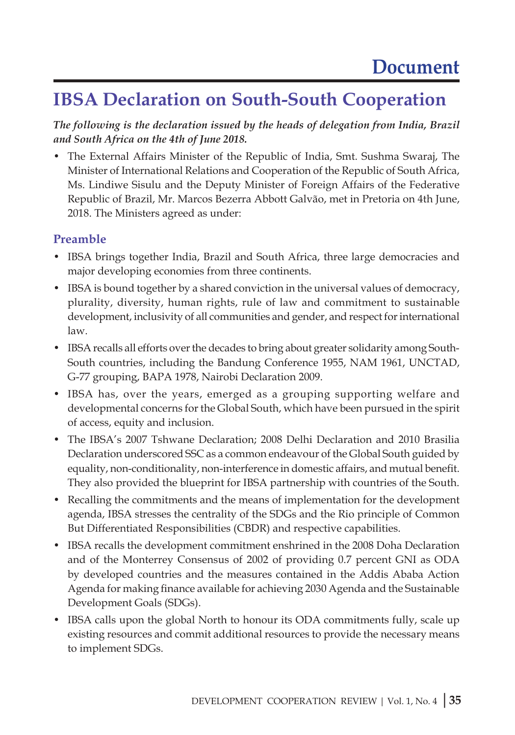### **IBSA Declaration on South-South Cooperation**

*The following is the declaration issued by the heads of delegation from India, Brazil and South Africa on the 4th of June 2018.*

• The External Affairs Minister of the Republic of India, Smt. Sushma Swaraj, The Minister of International Relations and Cooperation of the Republic of South Africa, Ms. Lindiwe Sisulu and the Deputy Minister of Foreign Affairs of the Federative Republic of Brazil, Mr. Marcos Bezerra Abbott Galvão, met in Pretoria on 4th June, 2018. The Ministers agreed as under:

#### **Preamble**

- IBSA brings together India, Brazil and South Africa, three large democracies and major developing economies from three continents.
- IBSA is bound together by a shared conviction in the universal values of democracy, plurality, diversity, human rights, rule of law and commitment to sustainable development, inclusivity of all communities and gender, and respect for international law.
- IBSA recalls all efforts over the decades to bring about greater solidarity among South-South countries, including the Bandung Conference 1955, NAM 1961, UNCTAD, G-77 grouping, BAPA 1978, Nairobi Declaration 2009.
- IBSA has, over the years, emerged as a grouping supporting welfare and developmental concerns for the Global South, which have been pursued in the spirit of access, equity and inclusion.
- The IBSA's 2007 Tshwane Declaration; 2008 Delhi Declaration and 2010 Brasilia Declaration underscored SSC as a common endeavour of the Global South guided by equality, non-conditionality, non-interference in domestic affairs, and mutual benefit. They also provided the blueprint for IBSA partnership with countries of the South.
- Recalling the commitments and the means of implementation for the development agenda, IBSA stresses the centrality of the SDGs and the Rio principle of Common But Differentiated Responsibilities (CBDR) and respective capabilities.
- IBSA recalls the development commitment enshrined in the 2008 Doha Declaration and of the Monterrey Consensus of 2002 of providing 0.7 percent GNI as ODA by developed countries and the measures contained in the Addis Ababa Action Agenda for making finance available for achieving 2030 Agenda and the Sustainable Development Goals (SDGs).
- IBSA calls upon the global North to honour its ODA commitments fully, scale up existing resources and commit additional resources to provide the necessary means to implement SDGs.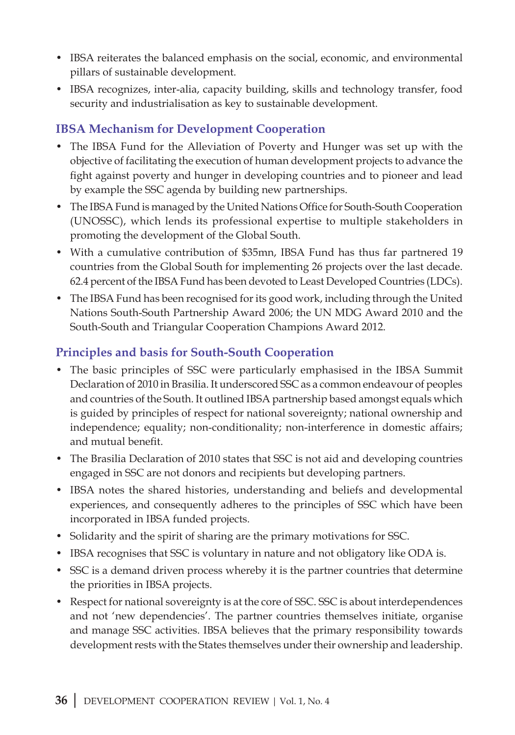- IBSA reiterates the balanced emphasis on the social, economic, and environmental pillars of sustainable development.
- IBSA recognizes, inter-alia, capacity building, skills and technology transfer, food security and industrialisation as key to sustainable development.

#### **IBSA Mechanism for Development Cooperation**

- The IBSA Fund for the Alleviation of Poverty and Hunger was set up with the objective of facilitating the execution of human development projects to advance the fight against poverty and hunger in developing countries and to pioneer and lead by example the SSC agenda by building new partnerships.
- The IBSA Fund is managed by the United Nations Office for South-South Cooperation (UNOSSC), which lends its professional expertise to multiple stakeholders in promoting the development of the Global South.
- With a cumulative contribution of \$35mn, IBSA Fund has thus far partnered 19 countries from the Global South for implementing 26 projects over the last decade. 62.4 percent of the IBSA Fund has been devoted to Least Developed Countries (LDCs).
- The IBSA Fund has been recognised for its good work, including through the United Nations South-South Partnership Award 2006; the UN MDG Award 2010 and the South-South and Triangular Cooperation Champions Award 2012.

#### **Principles and basis for South-South Cooperation**

- The basic principles of SSC were particularly emphasised in the IBSA Summit Declaration of 2010 in Brasilia. It underscored SSC as a common endeavour of peoples and countries of the South. It outlined IBSA partnership based amongst equals which is guided by principles of respect for national sovereignty; national ownership and independence; equality; non-conditionality; non-interference in domestic affairs; and mutual benefit.
- The Brasilia Declaration of 2010 states that SSC is not aid and developing countries engaged in SSC are not donors and recipients but developing partners.
- IBSA notes the shared histories, understanding and beliefs and developmental experiences, and consequently adheres to the principles of SSC which have been incorporated in IBSA funded projects.
- Solidarity and the spirit of sharing are the primary motivations for SSC.
- IBSA recognises that SSC is voluntary in nature and not obligatory like ODA is.
- SSC is a demand driven process whereby it is the partner countries that determine the priorities in IBSA projects.
- Respect for national sovereignty is at the core of SSC. SSC is about interdependences and not 'new dependencies'. The partner countries themselves initiate, organise and manage SSC activities. IBSA believes that the primary responsibility towards development rests with the States themselves under their ownership and leadership.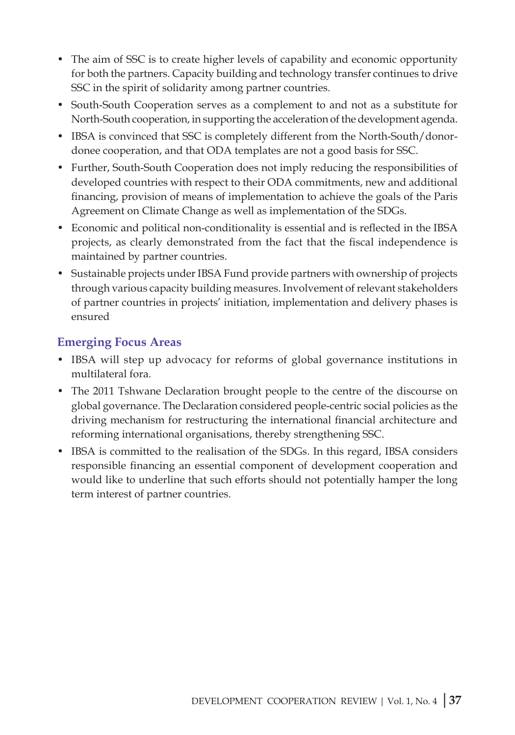- The aim of SSC is to create higher levels of capability and economic opportunity for both the partners. Capacity building and technology transfer continues to drive SSC in the spirit of solidarity among partner countries.
- South-South Cooperation serves as a complement to and not as a substitute for North-South cooperation, in supporting the acceleration of the development agenda.
- IBSA is convinced that SSC is completely different from the North-South/donordonee cooperation, and that ODA templates are not a good basis for SSC.
- Further, South-South Cooperation does not imply reducing the responsibilities of developed countries with respect to their ODA commitments, new and additional financing, provision of means of implementation to achieve the goals of the Paris Agreement on Climate Change as well as implementation of the SDGs.
- Economic and political non-conditionality is essential and is reflected in the IBSA projects, as clearly demonstrated from the fact that the fiscal independence is maintained by partner countries.
- Sustainable projects under IBSA Fund provide partners with ownership of projects through various capacity building measures. Involvement of relevant stakeholders of partner countries in projects' initiation, implementation and delivery phases is ensured

#### **Emerging Focus Areas**

- IBSA will step up advocacy for reforms of global governance institutions in multilateral fora.
- The 2011 Tshwane Declaration brought people to the centre of the discourse on global governance. The Declaration considered people-centric social policies as the driving mechanism for restructuring the international financial architecture and reforming international organisations, thereby strengthening SSC.
- IBSA is committed to the realisation of the SDGs. In this regard, IBSA considers responsible financing an essential component of development cooperation and would like to underline that such efforts should not potentially hamper the long term interest of partner countries.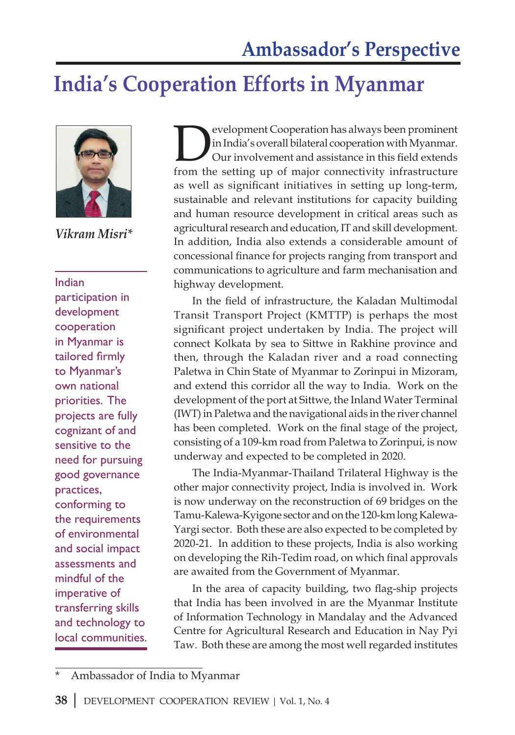### **India's Cooperation Efforts in Myanmar**



*Vikram Misri\** 

Indian participation in development cooperation in Myanmar is tailored firmly to Myanmar's own national priorities. The projects are fully cognizant of and sensitive to the need for pursuing good governance practices, conforming to the requirements of environmental and social impact assessments and mindful of the imperative of transferring skills and technology to local communities. European Cooperation has always been prominent<br>in India's overall bilateral cooperation with Myanmar.<br>Our involvement and assistance in this field extends<br>from the setting un of major connectivity infrastructure in India's overall bilateral cooperation with Myanmar. Our involvement and assistance in this field extends from the setting up of major connectivity infrastructure as well as significant initiatives in setting up long-term, sustainable and relevant institutions for capacity building and human resource development in critical areas such as agricultural research and education, IT and skill development. In addition, India also extends a considerable amount of concessional finance for projects ranging from transport and communications to agriculture and farm mechanisation and highway development.

In the field of infrastructure, the Kaladan Multimodal Transit Transport Project (KMTTP) is perhaps the most significant project undertaken by India. The project will connect Kolkata by sea to Sittwe in Rakhine province and then, through the Kaladan river and a road connecting Paletwa in Chin State of Myanmar to Zorinpui in Mizoram, and extend this corridor all the way to India. Work on the development of the port at Sittwe, the Inland Water Terminal (IWT) in Paletwa and the navigational aids in the river channel has been completed. Work on the final stage of the project, consisting of a 109-km road from Paletwa to Zorinpui, is now underway and expected to be completed in 2020.

The India-Myanmar-Thailand Trilateral Highway is the other major connectivity project, India is involved in. Work is now underway on the reconstruction of 69 bridges on the Tamu-Kalewa-Kyigone sector and on the 120-km long Kalewa-Yargi sector. Both these are also expected to be completed by 2020-21. In addition to these projects, India is also working on developing the Rih-Tedim road, on which final approvals are awaited from the Government of Myanmar.

In the area of capacity building, two flag-ship projects that India has been involved in are the Myanmar Institute of Information Technology in Mandalay and the Advanced Centre for Agricultural Research and Education in Nay Pyi Taw. Both these are among the most well regarded institutes

Ambassador of India to Myanmar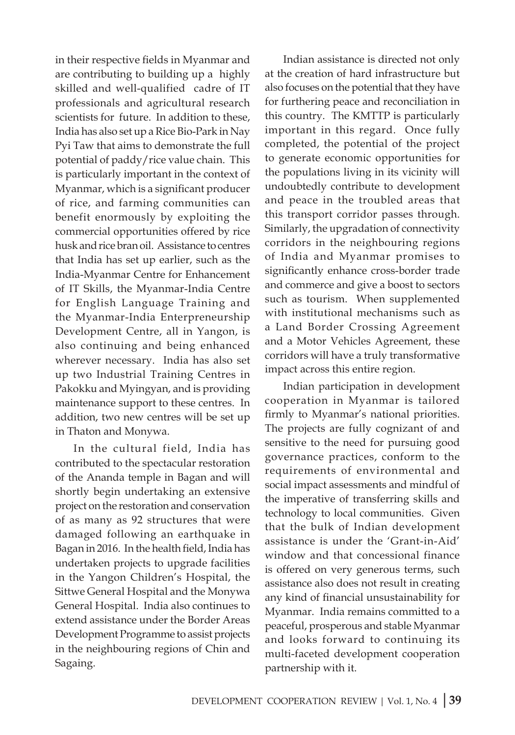in their respective fields in Myanmar and are contributing to building up a highly skilled and well-qualified cadre of IT professionals and agricultural research scientists for future. In addition to these, India has also set up a Rice Bio-Park in Nay Pyi Taw that aims to demonstrate the full potential of paddy/rice value chain. This is particularly important in the context of Myanmar, which is a significant producer of rice, and farming communities can benefit enormously by exploiting the commercial opportunities offered by rice husk and rice bran oil. Assistance to centres that India has set up earlier, such as the India-Myanmar Centre for Enhancement of IT Skills, the Myanmar-India Centre for English Language Training and the Myanmar-India Enterpreneurship Development Centre, all in Yangon, is also continuing and being enhanced wherever necessary. India has also set up two Industrial Training Centres in Pakokku and Myingyan, and is providing maintenance support to these centres. In addition, two new centres will be set up in Thaton and Monywa.

In the cultural field, India has contributed to the spectacular restoration of the Ananda temple in Bagan and will shortly begin undertaking an extensive project on the restoration and conservation of as many as 92 structures that were damaged following an earthquake in Bagan in 2016. In the health field, India has undertaken projects to upgrade facilities in the Yangon Children's Hospital, the Sittwe General Hospital and the Monywa General Hospital. India also continues to extend assistance under the Border Areas Development Programme to assist projects in the neighbouring regions of Chin and Sagaing.

Indian assistance is directed not only at the creation of hard infrastructure but also focuses on the potential that they have for furthering peace and reconciliation in this country. The KMTTP is particularly important in this regard. Once fully completed, the potential of the project to generate economic opportunities for the populations living in its vicinity will undoubtedly contribute to development and peace in the troubled areas that this transport corridor passes through. Similarly, the upgradation of connectivity corridors in the neighbouring regions of India and Myanmar promises to significantly enhance cross-border trade and commerce and give a boost to sectors such as tourism. When supplemented with institutional mechanisms such as a Land Border Crossing Agreement and a Motor Vehicles Agreement, these corridors will have a truly transformative impact across this entire region.

Indian participation in development cooperation in Myanmar is tailored firmly to Myanmar's national priorities. The projects are fully cognizant of and sensitive to the need for pursuing good governance practices, conform to the requirements of environmental and social impact assessments and mindful of the imperative of transferring skills and technology to local communities. Given that the bulk of Indian development assistance is under the 'Grant-in-Aid' window and that concessional finance is offered on very generous terms, such assistance also does not result in creating any kind of financial unsustainability for Myanmar. India remains committed to a peaceful, prosperous and stable Myanmar and looks forward to continuing its multi-faceted development cooperation partnership with it.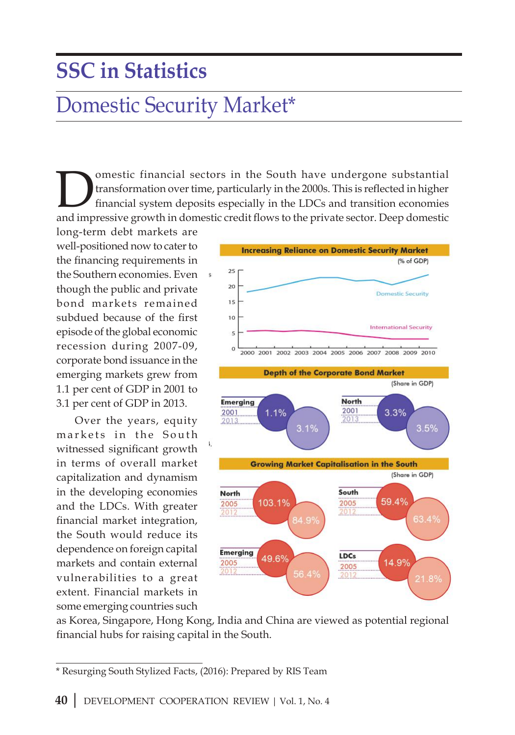# **SSC in Statistics**

### Domestic Security Market\*

Interaction of the South have undergone substantial<br>transformation over time, particularly in the 2000s. This is reflected in higher<br>financial system deposits especially in the LDCs and transition economies<br>and impressive transformation over time, particularly in the 2000s. This is reflected in higher financial system deposits especially in the LDCs and transition economies and impressive growth in domestic credit flows to the private sector. Deep domestic

long-term debt markets are well-positioned now to cater to the financing requirements in the Southern economies. Even though the public and private bond markets remained subdued because of the first episode of the global economic recession during 2007-09, corporate bond issuance in the emerging markets grew from 1.1 per cent of GDP in 2001 to 3.1 per cent of GDP in 2013.

Over the years, equity markets in the South witnessed significant growth in terms of overall market capitalization and dynamism in the developing economies and the LDCs. With greater financial market integration, the South would reduce its dependence on foreign capital markets and contain external vulnerabilities to a great extent. Financial markets in some emerging countries such



as Korea, Singapore, Hong Kong, India and China are viewed as potential regional financial hubs for raising capital in the South.

<sup>\*</sup> Resurging South Stylized Facts, (2016): Prepared by RIS Team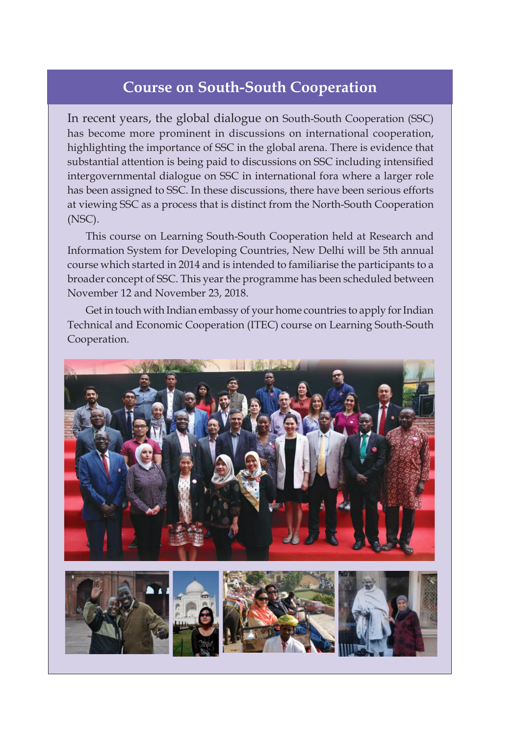#### **Course on South-South Cooperation**

In recent years, the global dialogue on South-South Cooperation (SSC) has become more prominent in discussions on international cooperation, highlighting the importance of SSC in the global arena. There is evidence that substantial attention is being paid to discussions on SSC including intensified intergovernmental dialogue on SSC in international fora where a larger role has been assigned to SSC. In these discussions, there have been serious efforts at viewing SSC as a process that is distinct from the North-South Cooperation (NSC).

This course on Learning South-South Cooperation held at Research and Information System for Developing Countries, New Delhi will be 5th annual course which started in 2014 and is intended to familiarise the participants to a broader concept of SSC. This year the programme has been scheduled between November 12 and November 23, 2018.

Get in touch with Indian embassy of your home countries to apply for Indian Technical and Economic Cooperation (ITEC) course on Learning South-South Cooperation.

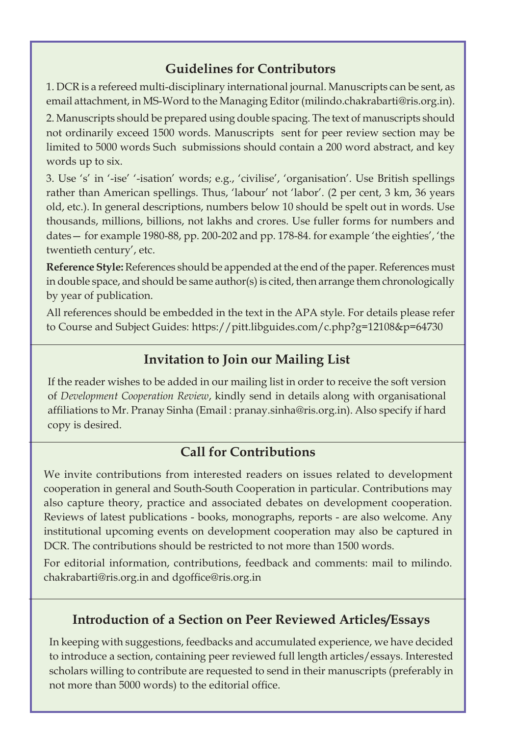#### **Guidelines for Contributors**

1. DCR is a refereed multi-disciplinary international journal. Manuscripts can be sent, as email attachment, in MS-Word to the Managing Editor (milindo.chakrabarti@ris.org.in).

2. Manuscripts should be prepared using double spacing. The text of manuscripts should not ordinarily exceed 1500 words. Manuscripts sent for peer review section may be limited to 5000 words Such submissions should contain a 200 word abstract, and key words up to six.

3. Use 's' in '-ise' '-isation' words; e.g., 'civilise', 'organisation'. Use British spellings rather than American spellings. Thus, 'labour' not 'labor'. (2 per cent, 3 km, 36 years old, etc.). In general descriptions, numbers below 10 should be spelt out in words. Use thousands, millions, billions, not lakhs and crores. Use fuller forms for numbers and dates— for example 1980-88, pp. 200-202 and pp. 178-84. for example 'the eighties', 'the twentieth century', etc.

**Reference Style:** References should be appended at the end of the paper. References must in double space, and should be same author(s) is cited, then arrange them chronologically by year of publication.

All references should be embedded in the text in the APA style. For details please refer to Course and Subject Guides: https://pitt.libguides.com/c.php?g=12108&p=64730

#### **Invitation to Join our Mailing List**

If the reader wishes to be added in our mailing list in order to receive the soft version of *Development Cooperation Review*, kindly send in details along with organisational affiliations to Mr. Pranay Sinha (Email : pranay.sinha@ris.org.in). Also specify if hard copy is desired.

#### **Call for Contributions**

We invite contributions from interested readers on issues related to development cooperation in general and South-South Cooperation in particular. Contributions may also capture theory, practice and associated debates on development cooperation. Reviews of latest publications - books, monographs, reports - are also welcome. Any institutional upcoming events on development cooperation may also be captured in DCR. The contributions should be restricted to not more than 1500 words.

For editorial information, contributions, feedback and comments: mail to milindo. chakrabarti@ris.org.in and dgoffice@ris.org.in

#### **Introduction of a Section on Peer Reviewed Articles/Essays**

In keeping with suggestions, feedbacks and accumulated experience, we have decided to introduce a section, containing peer reviewed full length articles/essays. Interested scholars willing to contribute are requested to send in their manuscripts (preferably in not more than 5000 words) to the editorial office.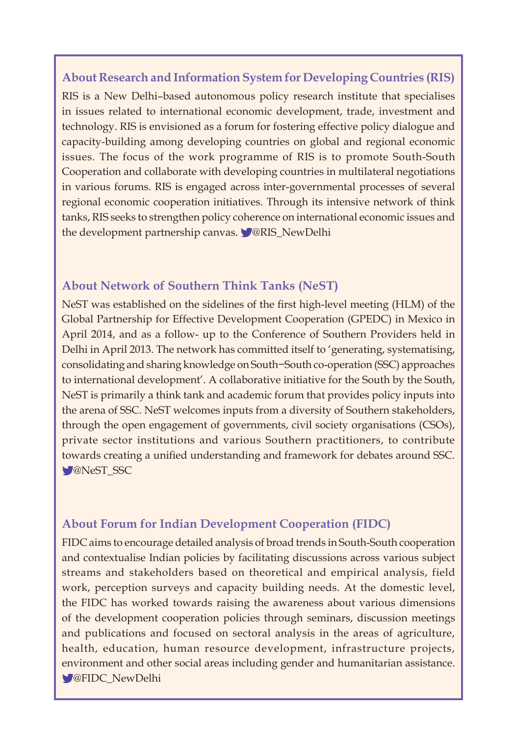#### **About Research and Information System for Developing Countries (RIS)**

RIS is a New Delhi–based autonomous policy research institute that specialises in issues related to international economic development, trade, investment and technology. RIS is envisioned as a forum for fostering effective policy dialogue and capacity-building among developing countries on global and regional economic issues. The focus of the work programme of RIS is to promote South-South Cooperation and collaborate with developing countries in multilateral negotiations in various forums. RIS is engaged across inter-governmental processes of several regional economic cooperation initiatives. Through its intensive network of think tanks, RIS seeks to strengthen policy coherence on international economic issues and the development partnership canvas. **W@RIS\_NewDelhi** 

#### **About Network of Southern Think Tanks (NeST)**

NeST was established on the sidelines of the first high-level meeting (HLM) of the Global Partnership for Effective Development Cooperation (GPEDC) in Mexico in April 2014, and as a follow- up to the Conference of Southern Providers held in Delhi in April 2013. The network has committed itself to 'generating, systematising, consolidating and sharing knowledge on South−South co-operation (SSC) approaches to international development'. A collaborative initiative for the South by the South, NeST is primarily a think tank and academic forum that provides policy inputs into the arena of SSC. NeST welcomes inputs from a diversity of Southern stakeholders, through the open engagement of governments, civil society organisations (CSOs), private sector institutions and various Southern practitioners, to contribute towards creating a unified understanding and framework for debates around SSC. **M**eST SSC

#### **About Forum for Indian Development Cooperation (FIDC)**

FIDC aims to encourage detailed analysis of broad trends in South-South cooperation and contextualise Indian policies by facilitating discussions across various subject streams and stakeholders based on theoretical and empirical analysis, field work, perception surveys and capacity building needs. At the domestic level, the FIDC has worked towards raising the awareness about various dimensions of the development cooperation policies through seminars, discussion meetings and publications and focused on sectoral analysis in the areas of agriculture, health, education, human resource development, infrastructure projects, environment and other social areas including gender and humanitarian assistance. **W@FIDC\_NewDelhi**